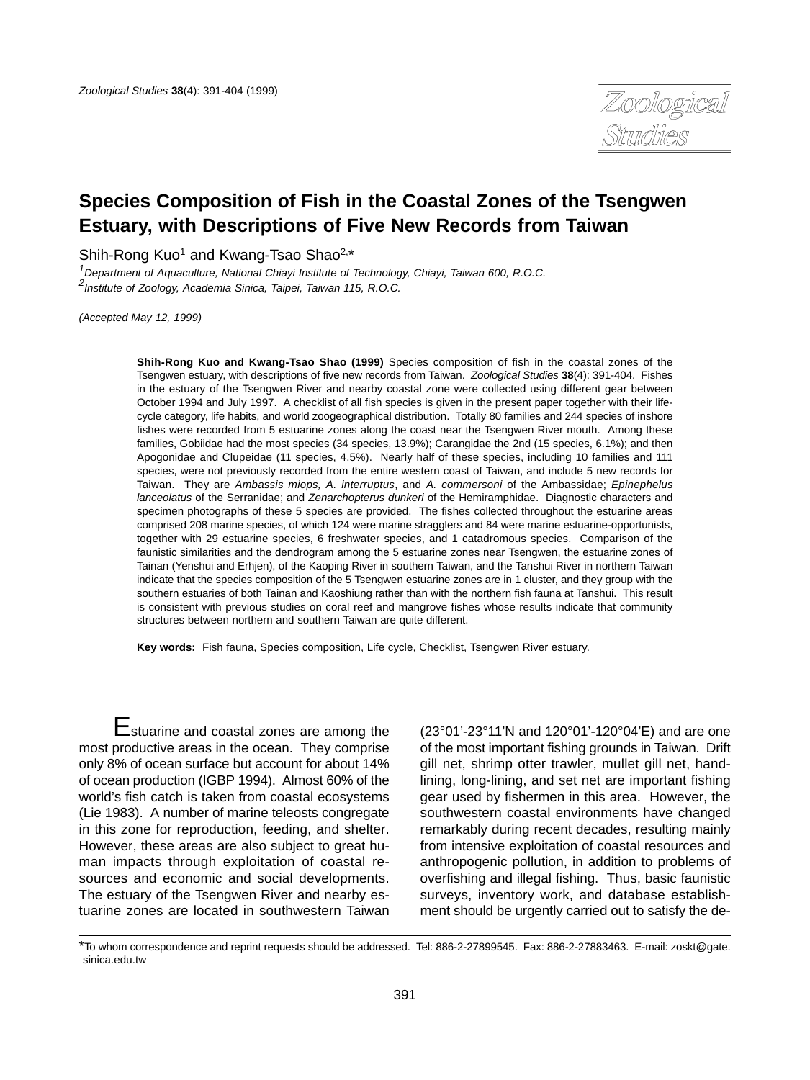

# **Species Composition of Fish in the Coastal Zones of the Tsengwen Estuary, with Descriptions of Five New Records from Taiwan**

Shih-Rong Kuo<sup>1</sup> and Kwang-Tsao Shao<sup>2,\*</sup>

<sup>1</sup>Department of Aquaculture, National Chiayi Institute of Technology, Chiayi, Taiwan 600, R.O.C. 2 Institute of Zoology, Academia Sinica, Taipei, Taiwan 115, R.O.C.

(Accepted May 12, 1999)

**Shih-Rong Kuo and Kwang-Tsao Shao (1999)** Species composition of fish in the coastal zones of the Tsengwen estuary, with descriptions of five new records from Taiwan. Zoological Studies **38**(4): 391-404. Fishes in the estuary of the Tsengwen River and nearby coastal zone were collected using different gear between October 1994 and July 1997. A checklist of all fish species is given in the present paper together with their lifecycle category, life habits, and world zoogeographical distribution. Totally 80 families and 244 species of inshore fishes were recorded from 5 estuarine zones along the coast near the Tsengwen River mouth. Among these families, Gobiidae had the most species (34 species, 13.9%); Carangidae the 2nd (15 species, 6.1%); and then Apogonidae and Clupeidae (11 species, 4.5%). Nearly half of these species, including 10 families and 111 species, were not previously recorded from the entire western coast of Taiwan, and include 5 new records for Taiwan. They are Ambassis miops, A. interruptus, and A. commersoni of the Ambassidae; Epinephelus lanceolatus of the Serranidae; and Zenarchopterus dunkeri of the Hemiramphidae. Diagnostic characters and specimen photographs of these 5 species are provided. The fishes collected throughout the estuarine areas comprised 208 marine species, of which 124 were marine stragglers and 84 were marine estuarine-opportunists, together with 29 estuarine species, 6 freshwater species, and 1 catadromous species. Comparison of the faunistic similarities and the dendrogram among the 5 estuarine zones near Tsengwen, the estuarine zones of Tainan (Yenshui and Erhjen), of the Kaoping River in southern Taiwan, and the Tanshui River in northern Taiwan indicate that the species composition of the 5 Tsengwen estuarine zones are in 1 cluster, and they group with the southern estuaries of both Tainan and Kaoshiung rather than with the northern fish fauna at Tanshui. This result is consistent with previous studies on coral reef and mangrove fishes whose results indicate that community structures between northern and southern Taiwan are quite different.

**Key words:** Fish fauna, Species composition, Life cycle, Checklist, Tsengwen River estuary.

Estuarine and coastal zones are among the most productive areas in the ocean. They comprise only 8% of ocean surface but account for about 14% of ocean production (IGBP 1994). Almost 60% of the world's fish catch is taken from coastal ecosystems (Lie 1983). A number of marine teleosts congregate in this zone for reproduction, feeding, and shelter. However, these areas are also subject to great human impacts through exploitation of coastal resources and economic and social developments. The estuary of the Tsengwen River and nearby estuarine zones are located in southwestern Taiwan

(23°01'-23°11'N and 120°01'-120°04'E) and are one of the most important fishing grounds in Taiwan. Drift gill net, shrimp otter trawler, mullet gill net, handlining, long-lining, and set net are important fishing gear used by fishermen in this area. However, the southwestern coastal environments have changed remarkably during recent decades, resulting mainly from intensive exploitation of coastal resources and anthropogenic pollution, in addition to problems of overfishing and illegal fishing. Thus, basic faunistic surveys, inventory work, and database establishment should be urgently carried out to satisfy the de-

<sup>\*</sup>To whom correspondence and reprint requests should be addressed. Tel: 886-2-27899545. Fax: 886-2-27883463. E-mail: zoskt@gate. sinica.edu.tw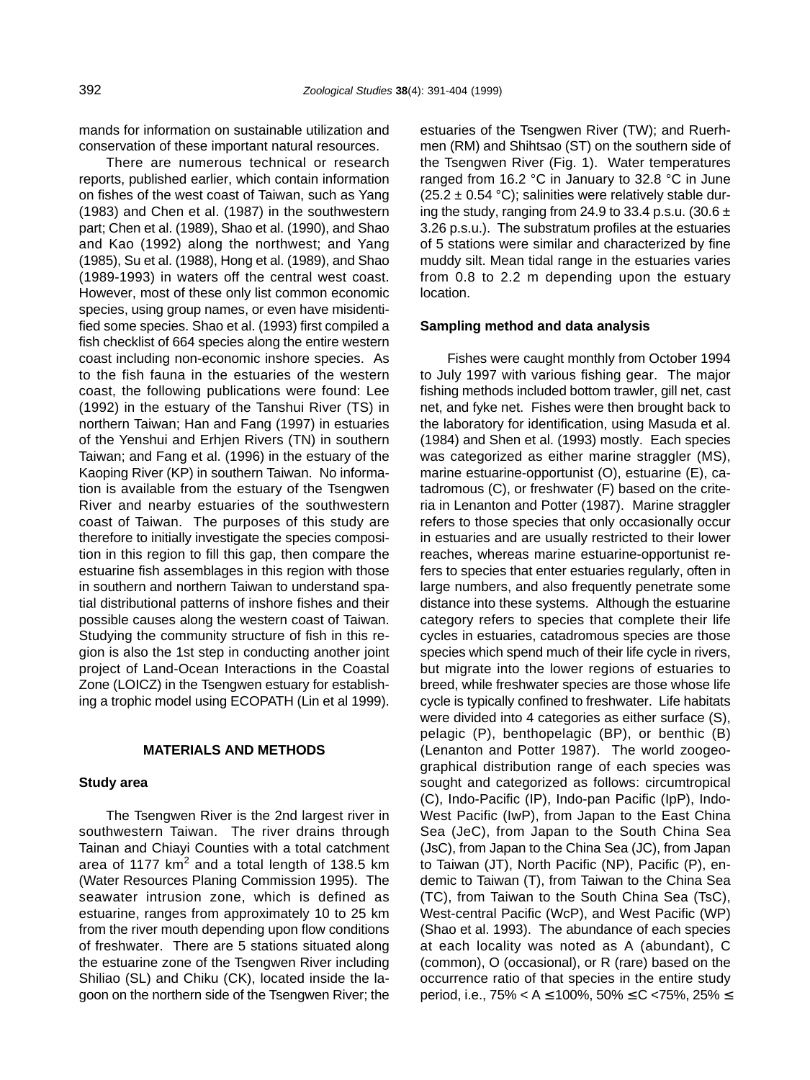mands for information on sustainable utilization and conservation of these important natural resources.

There are numerous technical or research reports, published earlier, which contain information on fishes of the west coast of Taiwan, such as Yang (1983) and Chen et al. (1987) in the southwestern part; Chen et al. (1989), Shao et al. (1990), and Shao and Kao (1992) along the northwest; and Yang (1985), Su et al. (1988), Hong et al. (1989), and Shao (1989-1993) in waters off the central west coast. However, most of these only list common economic species, using group names, or even have misidentified some species. Shao et al. (1993) first compiled a fish checklist of 664 species along the entire western coast including non-economic inshore species. As to the fish fauna in the estuaries of the western coast, the following publications were found: Lee (1992) in the estuary of the Tanshui River (TS) in northern Taiwan; Han and Fang (1997) in estuaries of the Yenshui and Erhjen Rivers (TN) in southern Taiwan; and Fang et al. (1996) in the estuary of the Kaoping River (KP) in southern Taiwan. No information is available from the estuary of the Tsengwen River and nearby estuaries of the southwestern coast of Taiwan. The purposes of this study are therefore to initially investigate the species composition in this region to fill this gap, then compare the estuarine fish assemblages in this region with those in southern and northern Taiwan to understand spatial distributional patterns of inshore fishes and their possible causes along the western coast of Taiwan. Studying the community structure of fish in this region is also the 1st step in conducting another joint project of Land-Ocean Interactions in the Coastal Zone (LOICZ) in the Tsengwen estuary for establishing a trophic model using ECOPATH (Lin et al 1999).

#### **MATERIALS AND METHODS**

#### **Study area**

The Tsengwen River is the 2nd largest river in southwestern Taiwan. The river drains through Tainan and Chiayi Counties with a total catchment area of 1177  $km^2$  and a total length of 138.5 km (Water Resources Planing Commission 1995). The seawater intrusion zone, which is defined as estuarine, ranges from approximately 10 to 25 km from the river mouth depending upon flow conditions of freshwater. There are 5 stations situated along the estuarine zone of the Tsengwen River including Shiliao (SL) and Chiku (CK), located inside the lagoon on the northern side of the Tsengwen River; the

estuaries of the Tsengwen River (TW); and Ruerhmen (RM) and Shihtsao (ST) on the southern side of the Tsengwen River (Fig. 1). Water temperatures ranged from 16.2 °C in January to 32.8 °C in June  $(25.2 \pm 0.54 \degree C)$ ; salinities were relatively stable during the study, ranging from 24.9 to 33.4 p.s.u. (30.6  $\pm$ 3.26 p.s.u.). The substratum profiles at the estuaries of 5 stations were similar and characterized by fine muddy silt. Mean tidal range in the estuaries varies from 0.8 to 2.2 m depending upon the estuary location.

#### **Sampling method and data analysis**

Fishes were caught monthly from October 1994 to July 1997 with various fishing gear. The major fishing methods included bottom trawler, gill net, cast net, and fyke net. Fishes were then brought back to the laboratory for identification, using Masuda et al. (1984) and Shen et al. (1993) mostly. Each species was categorized as either marine straggler (MS), marine estuarine-opportunist (O), estuarine (E), catadromous (C), or freshwater (F) based on the criteria in Lenanton and Potter (1987). Marine straggler refers to those species that only occasionally occur in estuaries and are usually restricted to their lower reaches, whereas marine estuarine-opportunist refers to species that enter estuaries regularly, often in large numbers, and also frequently penetrate some distance into these systems. Although the estuarine category refers to species that complete their life cycles in estuaries, catadromous species are those species which spend much of their life cycle in rivers, but migrate into the lower regions of estuaries to breed, while freshwater species are those whose life cycle is typically confined to freshwater. Life habitats were divided into 4 categories as either surface (S), pelagic (P), benthopelagic (BP), or benthic (B) (Lenanton and Potter 1987). The world zoogeographical distribution range of each species was sought and categorized as follows: circumtropical (C), Indo-Pacific (IP), Indo-pan Pacific (IpP), Indo-West Pacific (IwP), from Japan to the East China Sea (JeC), from Japan to the South China Sea (JsC), from Japan to the China Sea (JC), from Japan to Taiwan (JT), North Pacific (NP), Pacific (P), endemic to Taiwan (T), from Taiwan to the China Sea (TC), from Taiwan to the South China Sea (TsC), West-central Pacific (WcP), and West Pacific (WP) (Shao et al. 1993). The abundance of each species at each locality was noted as A (abundant), C (common), O (occasional), or R (rare) based on the occurrence ratio of that species in the entire study period, i.e., 75% < A ≤ 100%, 50% ≤ C <75%, 25% ≤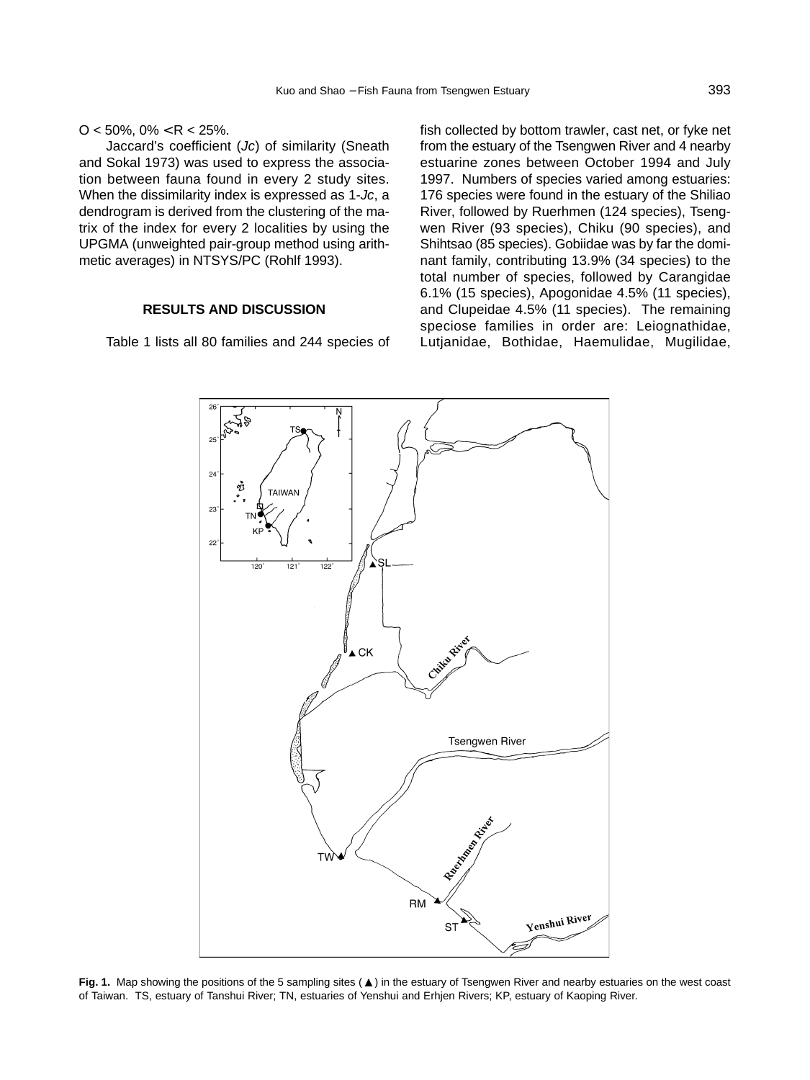$O < 50\%$ ,  $0\% < R < 25\%$ .

Jaccard's coefficient (Jc) of similarity (Sneath and Sokal 1973) was used to express the association between fauna found in every 2 study sites. When the dissimilarity index is expressed as 1-Jc, a dendrogram is derived from the clustering of the matrix of the index for every 2 localities by using the UPGMA (unweighted pair-group method using arithmetic averages) in NTSYS/PC (Rohlf 1993).

#### **RESULTS AND DISCUSSION**

Table 1 lists all 80 families and 244 species of

fish collected by bottom trawler, cast net, or fyke net from the estuary of the Tsengwen River and 4 nearby estuarine zones between October 1994 and July 1997. Numbers of species varied among estuaries: 176 species were found in the estuary of the Shiliao River, followed by Ruerhmen (124 species), Tsengwen River (93 species), Chiku (90 species), and Shihtsao (85 species). Gobiidae was by far the dominant family, contributing 13.9% (34 species) to the total number of species, followed by Carangidae 6.1% (15 species), Apogonidae 4.5% (11 species), and Clupeidae 4.5% (11 species). The remaining speciose families in order are: Leiognathidae, Lutjanidae, Bothidae, Haemulidae, Mugilidae,



Fig. 1. Map showing the positions of the 5 sampling sites ( $\triangle$ ) in the estuary of Tsengwen River and nearby estuaries on the west coast of Taiwan. TS, estuary of Tanshui River; TN, estuaries of Yenshui and Erhjen Rivers; KP, estuary of Kaoping River.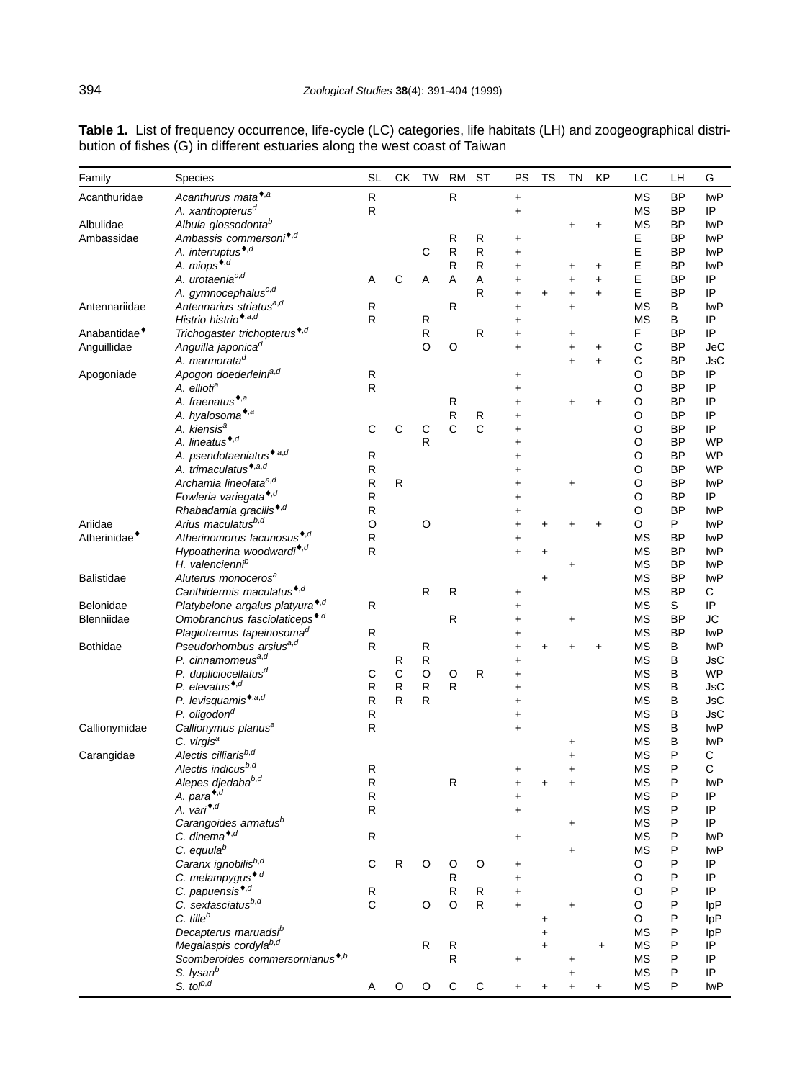| Family                   | Species                                                              | <b>SL</b>                 | СK           | <b>TW</b>    | <b>RM</b>               | <b>ST</b>   | PS        | TS      | <b>TN</b>  | KP        | LC        | LH           | G          |
|--------------------------|----------------------------------------------------------------------|---------------------------|--------------|--------------|-------------------------|-------------|-----------|---------|------------|-----------|-----------|--------------|------------|
| Acanthuridae             | Acanthurus mata*,a                                                   | ${\sf R}$                 |              |              | $\mathsf{R}$            |             | $\ddot{}$ |         |            |           | МS        | <b>BP</b>    | <b>IwP</b> |
|                          | A. xanthopterus <sup>d</sup>                                         | $\mathsf{R}$              |              |              |                         |             | +         |         |            |           | МS        | BP           | IP         |
| Albulidae                | Albula glossodonta <sup>b</sup>                                      |                           |              |              |                         |             |           |         | +          | $\ddot{}$ | МS        | BP           | <b>IwP</b> |
| Ambassidae               | Ambassis commersoni <sup>*,d</sup>                                   |                           |              |              | R                       | R           | $\ddot{}$ |         |            |           | Е         | <b>BP</b>    | lwP        |
|                          | A. interruptus <sup>*,d</sup>                                        |                           |              | С            | ${\sf R}$               | R           | $\ddot{}$ |         |            |           | E         | BP           | <b>IwP</b> |
|                          | A. miops <sup>*,d</sup>                                              |                           |              |              | R                       | R           | +         |         | +          | $\ddot{}$ | E         | ΒP           | <b>IwP</b> |
|                          | A. urotaenia <sup>c,d</sup>                                          | Α                         | C            | Α            | Α                       | A           | +         |         | $\ddag$    | $\ddot{}$ | Е         | <b>BP</b>    | IP         |
|                          | A. gymnocephalus <sup>c,d</sup>                                      |                           |              |              |                         | R           | +         | +       | $\ddag$    | $\ddot{}$ | E         | BP           | IP         |
| Antennariidae            | Antennarius striatus <sup>a,d</sup>                                  | R                         |              |              | R                       |             | $\ddot{}$ |         | $\ddot{}$  |           | МS        | в            | <b>IwP</b> |
|                          | Histrio histrio <sup>*,a,d</sup>                                     | ${\sf R}$                 |              | ${\sf R}$    |                         |             | $\ddot{}$ |         |            |           | МS        | B            | IP         |
| Anabantidae <sup>*</sup> | Trichogaster trichopterus <sup>*,d</sup>                             |                           |              | R            |                         | R           | $\ddot{}$ |         | +          |           | F         | BP           | IP         |
| Anguillidae              | Anguilla japonica <sup>d</sup>                                       |                           |              | O            | $\circ$                 |             | $\ddot{}$ |         | +          | $\ddot{}$ | С         | ΒP           | JeC        |
|                          | A. marmorata <sup>d</sup>                                            |                           |              |              |                         |             |           |         | $\ddot{}$  | $\ddot{}$ | С         | <b>BP</b>    | <b>JsC</b> |
| Apogoniade               | Apogon doederleinia,d                                                | ${\sf R}$                 |              |              |                         |             | +         |         |            |           | O         | BP           | IP         |
|                          | A. ellioti <sup>a</sup>                                              | ${\sf R}$                 |              |              |                         |             | +         |         |            |           | $\circ$   | <b>BP</b>    | IP         |
|                          | A. fraenatus <sup>*,a</sup>                                          |                           |              |              | R                       |             | $\ddot{}$ |         | +          | +         | O         | <b>BP</b>    | IP         |
|                          | A. hyalosoma*,a                                                      |                           |              |              | ${\sf R}$               | R           | +         |         |            |           | O         | BP           | IP         |
|                          | A. kiensis <sup>a</sup>                                              | C                         | C            | C            | $\mathbf C$             | $\mathsf C$ | +         |         |            |           | O         | ΒP           | IP         |
|                          | A. lineatus <sup>*,d</sup>                                           |                           |              | R            |                         |             | +         |         |            |           | O         | <b>BP</b>    | WP         |
|                          | A. psendotaeniatus <sup>*,a,d</sup>                                  | R                         |              |              |                         |             | +         |         |            |           | O         | BP           | WP         |
|                          | A. trimaculatus <sup>*,a,d</sup>                                     | R                         |              |              |                         |             | +         |         |            |           | O         | <b>BP</b>    | <b>WP</b>  |
|                          | Archamia lineolata <sup>a,d</sup>                                    | R                         | R            |              |                         |             | +         |         | +          |           | O         | <b>BP</b>    | lwP        |
|                          | Fowleria variegata <sup>*,d</sup>                                    | R                         |              |              |                         |             | +         |         |            |           | O         | <b>BP</b>    | IP         |
|                          | Rhabadamia gracilis <sup>*,d</sup>                                   | ${\sf R}$                 |              |              |                         |             | +         |         |            |           | O         | <b>BP</b>    | <b>IwP</b> |
| Ariidae                  | Arius maculatusb,d                                                   | $\circ$                   |              | O            |                         |             | $\ddot{}$ |         |            | $\ddot{}$ | O         | P            | <b>IwP</b> |
| Atherinidae <sup>*</sup> | Atherinomorus lacunosus <sup>*,d</sup>                               | ${\sf R}$                 |              |              |                         |             | $\ddot{}$ |         |            |           | <b>MS</b> | <b>BP</b>    | lwP        |
|                          | Hypoatherina woodwardi*,d                                            | $\mathsf{R}$              |              |              |                         |             | $\ddot{}$ | +       |            |           | МS        | BP           | <b>IwP</b> |
|                          | H. valencienni <sup>b</sup>                                          |                           |              |              |                         |             |           |         | +          |           | МS        | <b>BP</b>    | lwP        |
| <b>Balistidae</b>        | Aluterus monoceros <sup>a</sup>                                      |                           |              |              |                         |             |           | $\ddag$ |            |           | MS        | <b>BP</b>    | lwP        |
|                          | Canthidermis maculatus <sup>*,d</sup>                                |                           |              | $\mathsf{R}$ | $\mathsf{R}$            |             | $\ddot{}$ |         |            |           | МS        | <b>BP</b>    | C          |
| Belonidae                | Platybelone argalus platyura*,d                                      | $\mathsf{R}$              |              |              |                         |             | $\ddot{}$ |         |            |           | МS        | S            | IP         |
| Blenniidae               | Omobranchus fasciolaticeps <sup>*,d</sup>                            |                           |              |              | $\mathsf{R}$            |             | +         |         | +          |           | МS        | <b>BP</b>    | JC         |
|                          | Plagiotremus tapeinosoma <sup>d</sup>                                | R                         |              |              |                         |             | +         |         |            |           | МS        | <b>BP</b>    | <b>IwP</b> |
| <b>Bothidae</b>          | Pseudorhombus arsius <sup>a,d</sup>                                  | ${\sf R}$                 |              | ${\sf R}$    |                         |             | $\ddot{}$ |         |            | $\ddag$   | МS        | B            | lwP        |
|                          | P. cinnamomeus <sup>a,d</sup>                                        |                           | R            | R            |                         |             | $\ddot{}$ |         |            |           | МS        | B            | JsC        |
|                          | P. dupliciocellatus <sup>d</sup>                                     | С                         | $\mathsf{C}$ | $\circ$      | $\circ$                 | R           | $\ddot{}$ |         |            |           | МS        | B            | <b>WP</b>  |
|                          | P. elevatus <sup>*,d</sup>                                           | ${\sf R}$                 | $\mathsf{R}$ | R            | ${\sf R}$               |             | $\ddot{}$ |         |            |           | МS        | B            | JsC        |
|                          | P. levisquamis <sup>*,a,d</sup>                                      | R                         | R            | $\mathsf{R}$ |                         |             | +         |         |            |           | MS        | B            | JsC        |
|                          | P. oligodon <sup>d</sup>                                             | ${\sf R}$                 |              |              |                         |             | +         |         |            |           | МS        | B            | JsC        |
| Callionymidae            | Callionymus planus <sup>a</sup>                                      | $\mathsf{R}$              |              |              |                         |             | $\ddot{}$ |         |            |           | МS        | B            | lwP        |
|                          | C. virgis <sup>a</sup>                                               |                           |              |              |                         |             |           |         | +          |           | MS        | B            | <b>IwP</b> |
| Carangidae               | Alectis cilliarisb,d                                                 |                           |              |              |                         |             |           |         | $\ddot{}$  |           | МS        | P            | С          |
|                          | Alectis indicusb,d                                                   | ${\sf R}$                 |              |              |                         |             | +         |         | $\ddot{}$  |           | МS        | P            | С          |
|                          | Alepes djedaba <sup>b,d</sup>                                        | $\mathsf R$               |              |              | R                       |             |           |         |            |           | <b>MS</b> | P            | <b>IwP</b> |
|                          | A. para*,d                                                           | ${\sf R}$                 |              |              |                         |             | +         |         |            |           | MS        | $\mathsf{P}$ | IP         |
|                          | A. vari*,d                                                           | ${\sf R}$                 |              |              |                         |             | $\ddot{}$ |         |            |           | <b>MS</b> | P            | IP         |
|                          | Carangoides armatus <sup>b</sup>                                     |                           |              |              |                         |             |           |         | $\ddagger$ |           | <b>MS</b> | P            | IP         |
|                          | C. dinema*,d                                                         | $\mathsf{R}$              |              |              |                         |             | $\ddot{}$ |         |            |           | <b>MS</b> | P            | lwP        |
|                          | C. equulab                                                           |                           |              |              |                         |             |           |         | +          |           | <b>MS</b> | P            | lwP        |
|                          | Caranx ignobilisb,d                                                  | $\mathsf{C}$              | R            | O            | O                       | O           | +         |         |            |           | O         | P            | IP         |
|                          | C. melampygus <sup>*,d</sup>                                         |                           |              |              | R                       |             | $\ddot{}$ |         |            |           | O         | P            | IP         |
|                          | C. papuensis <sup>*,d</sup>                                          | ${\sf R}$<br>$\mathsf{C}$ |              |              | $\mathsf{R}$<br>$\circ$ | R           | $\ddot{}$ |         |            |           | O         | P            | IP         |
|                          | C. sexfasciatusb,d<br>$C.$ tille $b$                                 |                           |              | O            |                         | R           | $\ddot{}$ |         | $\ddot{}$  |           | O         | P            | IpP        |
|                          |                                                                      |                           |              |              |                         |             |           | +       |            |           | O         | P            | IpP        |
|                          | Decapterus maruadsi <sup>b</sup><br>Megalaspis cordylab,d            |                           |              |              |                         |             |           |         |            |           | <b>MS</b> | P<br>P       | IpP<br>IP  |
|                          |                                                                      |                           |              | R            | R                       |             |           |         |            | $\ddot{}$ | MS        |              |            |
|                          | Scomberoides commersornianus <sup>*,b</sup><br>S. lysan <sup>b</sup> |                           |              |              | ${\sf R}$               |             | +         |         | +          |           | МS        | P            | IP<br>IP   |
|                          | S. to $b,d$                                                          |                           | O            | O            | С                       | C           |           |         |            |           | MS<br>MS  | P<br>P       | lwP        |
|                          |                                                                      |                           |              |              |                         |             |           |         |            |           |           |              |            |

**Table 1.** List of frequency occurrence, life-cycle (LC) categories, life habitats (LH) and zoogeographical distribution of fishes (G) in different estuaries along the west coast of Taiwan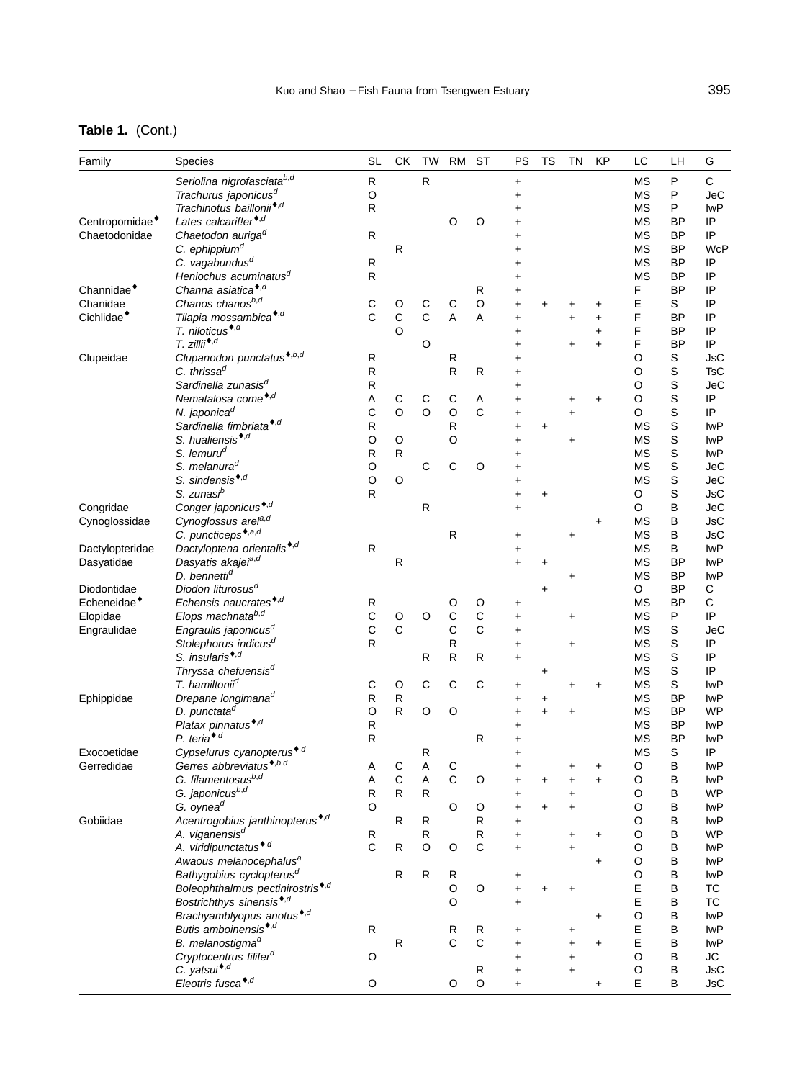## **Table 1.** (Cont.)

| Family                     | <b>Species</b>                               | <b>SL</b>    | СK           | <b>TW</b>    | <b>RM</b>      | <b>ST</b>    | PS         | TS        | <b>TN</b> | KP         | LC          | LH          | G           |
|----------------------------|----------------------------------------------|--------------|--------------|--------------|----------------|--------------|------------|-----------|-----------|------------|-------------|-------------|-------------|
|                            | Seriolina nigrofasciatab,d                   | R            |              | ${\sf R}$    |                |              | $\ddagger$ |           |           |            | МS          | $\sf P$     | $\mathsf C$ |
|                            | Trachurus japonicus <sup>d</sup>             | O            |              |              |                |              | $\ddag$    |           |           |            | МS          | $\sf P$     | <b>JeC</b>  |
|                            | Trachinotus baillonii <sup>*,d</sup>         | R            |              |              |                |              | +          |           |           |            | МS          | P           | <b>IwP</b>  |
| Centropomidae <sup>*</sup> | Lates calcarif!er <sup>*,d</sup>             |              |              |              | O              | O            | $\ddag$    |           |           |            | MS          | BP          | IP          |
| Chaetodonidae              | Chaetodon auriga <sup>d</sup>                | $\mathsf{R}$ |              |              |                |              | +          |           |           |            | МS          | BP          | IP          |
|                            | C. ephippium <sup>d</sup>                    |              | $\mathsf{R}$ |              |                |              |            |           |           |            | <b>MS</b>   | <b>BP</b>   | <b>WcP</b>  |
|                            | C. vagabundus <sup>d</sup>                   | R            |              |              |                |              |            |           |           |            | <b>MS</b>   | <b>BP</b>   | IP          |
|                            | Heniochus acuminatus <sup>d</sup>            |              |              |              |                |              |            |           |           |            |             | <b>BP</b>   | IP          |
|                            | Channa asiatica <sup>*,d</sup>               | R            |              |              |                |              | +          |           |           |            | МS          |             |             |
| Channidae <sup>*</sup>     |                                              |              |              |              |                | R            | $\ddag$    |           |           |            | F           | <b>BP</b>   | IP          |
| Chanidae                   | Chanos chanosb,d                             | C            | O            | $\mathsf C$  | C              | $\circ$      | +          | +         | +         | +          | Ε           | S           | IP          |
| Cichlidae <sup>*</sup>     | Tilapia mossambica <sup>*,d</sup>            | C            | $\mathsf C$  | $\mathsf{C}$ | $\overline{A}$ | A            | $\ddag$    |           | $\ddot{}$ | $\ddot{}$  | F           | <b>BP</b>   | IP          |
|                            | T. niloticus <sup>*,d</sup>                  |              | $\circ$      |              |                |              | $\ddot{}$  |           |           | $\ddot{}$  | F           | <b>BP</b>   | IP          |
|                            | $T.$ zillii*, $d$                            |              |              | O            |                |              | $\ddag$    |           | $\ddag$   | $\ddot{}$  | F           | <b>BP</b>   | IP          |
| Clupeidae                  | Clupanodon punctatus <sup>*,b,d</sup>        | R            |              |              | R              |              | $\ddot{}$  |           |           |            | O           | S           | JsC         |
|                            | C. thrissa <sup>d</sup>                      | R            |              |              | $\mathsf R$    | R            | +          |           |           |            | O           | $\mathsf S$ | <b>TsC</b>  |
|                            | Sardinella zunasis <sup>d</sup>              | R            |              |              |                |              | +          |           |           |            | O           | $\mathsf S$ | <b>JeC</b>  |
|                            | Nematalosa come <sup>*,d</sup>               | Α            | С            | $\mathsf C$  | С              | Α            | $\ddag$    |           | +         | +          | $\circ$     | $\mathsf S$ | IP          |
|                            | N. japonica <sup>d</sup>                     | С            | $\circ$      | $\circ$      | O              | $\mathsf C$  | +          |           | $\ddot{}$ |            | O           | $\mathsf S$ | IP          |
|                            | Sardinella fimbriata <sup>*,d</sup>          | R            |              |              | R              |              | +          | +         |           |            | <b>MS</b>   | $\mathsf S$ | <b>IwP</b>  |
|                            | S. hualiensis <sup>*,d</sup>                 | O            | O            |              | O              |              | $\ddag$    |           | $\ddag$   |            | МS          | $\mathsf S$ | <b>IwP</b>  |
|                            | S. lemuru <sup>d</sup>                       | R            | $\mathsf{R}$ |              |                |              | $\ddot{}$  |           |           |            | ΜS          | $\mathbf S$ | <b>IwP</b>  |
|                            | S. melanura <sup>d</sup>                     | O            |              | $\mathsf C$  | С              | O            | +          |           |           |            | МS          | $\mathsf S$ | <b>JeC</b>  |
|                            | S. sindensis <sup>*,d</sup>                  | O            | O            |              |                |              | +          |           |           |            | МS          | $\mathsf S$ | <b>JeC</b>  |
|                            | S. zunasi <sup>b</sup>                       | R            |              |              |                |              | $\ddot{}$  | $\ddot{}$ |           |            | O           | $\mathsf S$ | <b>JsC</b>  |
| Congridae                  | Conger japonicus <sup>*,d</sup>              |              |              | $\mathsf{R}$ |                |              | $\ddot{}$  |           |           |            | O           | B           | <b>JeC</b>  |
| Cynoglossidae              | Cynoglossus arel <sup>a,d</sup>              |              |              |              |                |              |            |           |           | +          | <b>MS</b>   | B           | <b>JsC</b>  |
|                            | C. puncticeps <sup>*,a,d</sup>               |              |              |              | $\mathsf{R}$   |              | +          |           | $\ddot{}$ |            | <b>MS</b>   | B           | <b>JsC</b>  |
| Dactylopteridae            | Dactyloptena orientalis <sup>*,d</sup>       | ${\sf R}$    |              |              |                |              | $\ddag$    |           |           |            | <b>MS</b>   | B           | <b>IwP</b>  |
|                            | Dasyatis akajei <sup>a,d</sup>               |              | $\mathsf{R}$ |              |                |              | $\ddot{}$  |           |           |            | МS          | BP          | <b>IwP</b>  |
| Dasyatidae                 |                                              |              |              |              |                |              |            | $\ddot{}$ |           |            |             |             | <b>IwP</b>  |
|                            | D. bennetti <sup>d</sup>                     |              |              |              |                |              |            |           | $\ddot{}$ |            | <b>MS</b>   | <b>BP</b>   |             |
| Diodontidae                | Diodon liturosus <sup>d</sup>                |              |              |              |                |              |            | +         |           |            | O           | <b>BP</b>   | С           |
| Echeneidae <sup>*</sup>    | Echensis naucrates <sup>*,d</sup>            | R            |              |              | O              | O            | $\ddot{}$  |           |           |            | <b>MS</b>   | <b>BP</b>   | $\mathsf C$ |
| Elopidae                   | Elops machnatab,d                            | С            | O            | O            | C              | $\mathbf C$  | $\ddot{}$  |           | $\ddot{}$ |            | <b>MS</b>   | P           | IP          |
| Engraulidae                | Engraulis japonicus <sup>d</sup>             | C            | $\mathsf{C}$ |              | $\mathbf C$    | $\mathsf{C}$ | $\ddag$    |           |           |            | МS          | S           | <b>JeC</b>  |
|                            | Stolephorus indicus <sup>d</sup>             | $\mathsf{R}$ |              |              | R              |              | $\ddot{}$  |           | $\ddot{}$ |            | МS          | $\mathsf S$ | IP          |
|                            | S. insularis <sup>*,d</sup>                  |              |              | R            | $\mathsf{R}$   | R            | $\ddot{}$  |           |           |            | <b>MS</b>   | $\mathbf S$ | IP          |
|                            | Thryssa chefuensis <sup>d</sup>              |              |              |              |                |              |            | +         |           |            | МS          | $\mathsf S$ | IP          |
|                            | T. hamiltonii <sup>d</sup>                   | С            | O            | $\mathsf C$  | С              | $\mathsf C$  | +          |           | +         | +          | МS          | $\mathbf S$ | <b>IwP</b>  |
| Ephippidae                 | Drepane longimana <sup>d</sup>               | R            | $\mathsf{R}$ |              |                |              | +          | +         |           |            | <b>MS</b>   | BP          | <b>IwP</b>  |
|                            | D. punctata <sup>d</sup>                     | O            | R            | O            | O              |              | $\ddot{}$  | $\ddot{}$ | $\ddot{}$ |            | <b>MS</b>   | <b>BP</b>   | <b>WP</b>   |
|                            | Platax pinnatus <sup>*,d</sup>               | R            |              |              |                |              | +          |           |           |            | МS          | BP          | <b>IwP</b>  |
|                            | P. teria <sup>*,d</sup>                      | $\mathsf{R}$ |              |              |                | R            | +          |           |           |            | <b>MS</b>   | <b>BP</b>   | <b>IwP</b>  |
| Exocoetidae                | Cypselurus cyanopterus <sup>*,d</sup>        |              |              | R            |                |              | $\ddot{}$  |           |           |            | <b>MS</b>   | S           | IP          |
| Gerredidae                 | Gerres abbreviatus <sup>*,b,d</sup>          | Α            | C            | Α            | C              |              | +          |           | +         | +          | O           | B           | <b>IwP</b>  |
|                            | G. filamentosusb,d                           | A            | $\mathsf C$  | A            | $\mathsf{C}$   | O            | $\ddot{}$  | $\ddot{}$ | $\ddot{}$ | $\ddot{}$  | O           | B           | <b>IwP</b>  |
|                            | G. japonicus <sup>b,d</sup>                  | R            | R            | $\mathsf{R}$ |                |              | $\ddag$    |           | +         |            | $\circ$     | B           | <b>WP</b>   |
|                            | G. oynea <sup>d</sup>                        | O            |              |              | O              | O            | $\ddot{}$  | $\ddot{}$ | $+$       |            | $\circ$     | B           | <b>IwP</b>  |
| Gobiidae                   | Acentrogobius janthinopterus <sup>*,d</sup>  |              | R            | R            |                | ${\sf R}$    | $\ddot{}$  |           |           |            | O           | B           | <b>IwP</b>  |
|                            | A. viganensis <sup>d</sup>                   | ${\sf R}$    |              | ${\sf R}$    |                | ${\sf R}$    | $\ddag$    |           | +         | $\ddagger$ | O           | B           | <b>WP</b>   |
|                            | A. viridipunctatus <sup>*,d</sup>            | $\mathsf{C}$ | R            | $\circ$      | O              | $\mathsf C$  | $+$        |           | $\ddot{}$ |            | $\circ$     | B           | <b>IwP</b>  |
|                            | Awaous melanocephalus <sup>a</sup>           |              |              |              |                |              |            |           |           | $\ddot{}$  | O           | B           | <b>IwP</b>  |
|                            | Bathygobius cyclopterus <sup>d</sup>         |              | ${\sf R}$    | $\mathsf R$  | R              |              | $\ddot{}$  |           |           |            | $\circ$     | B           | <b>IwP</b>  |
|                            | Boleophthalmus pectinirostris <sup>*,d</sup> |              |              |              | $\hbox{O}$     | $\circ$      | $\ddot{}$  | $\ddot{}$ | $\ddot{}$ |            | E           | $\sf B$     | <b>TC</b>   |
|                            | Bostrichthys sinensis <sup>*,d</sup>         |              |              |              | O              |              |            |           |           |            | E           | B           | <b>TC</b>   |
|                            | Brachyamblyopus anotus <sup>*,d</sup>        |              |              |              |                |              | $\ddot{}$  |           |           |            |             | B           | <b>IwP</b>  |
|                            |                                              |              |              |              |                |              |            |           |           | $\ddot{}$  | O           |             |             |
|                            | Butis amboinensis <sup>*,d</sup>             | $\mathsf R$  |              |              | R              | R            | $\ddot{}$  |           | +         |            | $\mathsf E$ | $\sf B$     | <b>IwP</b>  |
|                            | B. melanostigma <sup>d</sup>                 |              | $\mathsf{R}$ |              | C              | $\mathsf C$  | $\ddot{}$  |           | $\ddot{}$ | +          | E           | B           | <b>IwP</b>  |
|                            | Cryptocentrus filifer <sup>d</sup>           | O            |              |              |                |              | $\ddot{}$  |           | $\ddot{}$ |            | $\circ$     | B           | JС          |
|                            | C. yatsui <sup>*,d</sup>                     |              |              |              |                | R            | $\ddot{}$  |           | $+$       |            | $\circ$     | B           | JsC         |
|                            | Eleotris fusca*,d                            | O            |              |              | $\circ$        | $\mathsf O$  | $\ddagger$ |           |           | $\ddot{}$  | E           | B           | JsC         |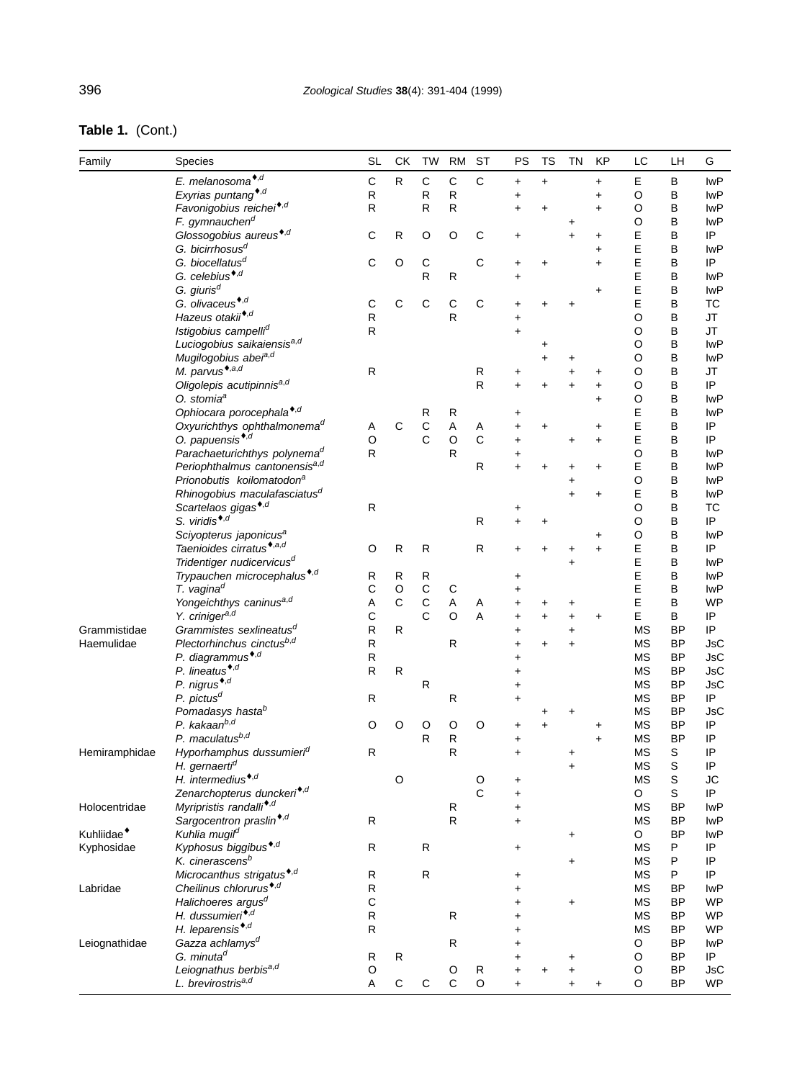| Table 1. (Cont.) |
|------------------|
|------------------|

| Family                 | Species                                                          | <b>SL</b>      | СK           | TW                            | <b>RM</b>    | ST           | PS         | <b>TS</b> | <b>TN</b>  | <b>KP</b> | LC              | LH             | G                 |
|------------------------|------------------------------------------------------------------|----------------|--------------|-------------------------------|--------------|--------------|------------|-----------|------------|-----------|-----------------|----------------|-------------------|
|                        | E. melanosoma <sup>*,d</sup>                                     | $\mathsf{C}$   | R            | C                             | $\mathsf C$  | C            | $\ddagger$ | $\ddot{}$ |            | $\ddot{}$ | Е               | В              | <b>IwP</b>        |
|                        | Exyrias puntang <sup>*,d</sup>                                   | ${\sf R}$      |              | R                             | ${\sf R}$    |              | $\ddagger$ |           |            | $\ddot{}$ | O               | В              | <b>IwP</b>        |
|                        | Favonigobius reichei <sup>*,d</sup>                              | $\mathsf{R}$   |              | R                             | R            |              | $\ddot{}$  | +         |            | $\ddot{}$ | O               | B              | <b>IwP</b>        |
|                        | F. gymnauchen <sup>d</sup>                                       |                |              |                               |              |              |            |           | +          |           | O               | B              | <b>IwP</b>        |
|                        | Glossogobius aureus <sup>*,d</sup>                               | C              | R            | O                             | O            | С            | +          |           | $\ddot{}$  | +         | E               | B              | IP                |
|                        | G. bicirrhosus <sup>d</sup>                                      |                |              |                               |              |              |            |           |            | $\ddot{}$ | E               | B              | <b>IwP</b>        |
|                        | G. biocellatus <sup>d</sup>                                      | C              | O            | $\mathsf C$                   |              | $\mathsf C$  | $\ddot{}$  | $\ddot{}$ |            | $\ddot{}$ | E               | В              | IP                |
|                        | G. celebius <sup>*,d</sup>                                       |                |              | R                             | $\mathsf{R}$ |              | $\ddot{}$  |           |            |           | E               | B              | <b>IwP</b>        |
|                        | G. giuris <sup>d</sup>                                           |                |              |                               |              |              |            |           |            | $\ddot{}$ | E               | B              | <b>IwP</b>        |
|                        | G. olivaceus <sup>*,d</sup>                                      | C              | $\mathsf{C}$ | C                             | $\mathbf C$  | C            | +          | $\ddot{}$ | +          |           | E               | В              | <b>TC</b>         |
|                        | Hazeus otakii <sup>*,d</sup>                                     | ${\sf R}$      |              |                               | $\mathsf{R}$ |              | $\ddot{}$  |           |            |           | $\circ$         | В              | JT                |
|                        | Istigobius campelli <sup>d</sup>                                 | R              |              |                               |              |              | $\ddot{}$  |           |            |           | $\circ$         | B              | <b>JT</b>         |
|                        | Luciogobius saikaiensis <sup>a,d</sup>                           |                |              |                               |              |              |            | +         |            |           | O               | B              | <b>IwP</b>        |
|                        | Mugilogobius abei <sup>a,d</sup>                                 |                |              |                               |              |              |            | +         | +          |           | $\circ$         | B              | <b>IwP</b>        |
|                        | M. parvus <sup>*,a,d</sup>                                       | ${\sf R}$      |              |                               |              | R            | +          |           | $\ddot{}$  | +         | $\circ$         | B              | <b>JT</b>         |
|                        | Oligolepis acutipinnisa,d                                        |                |              |                               |              | R            | $\ddot{}$  | +         | $\ddot{}$  | $\ddot{}$ | O               | В              | IP                |
|                        | O. stomia <sup>a</sup>                                           |                |              |                               |              |              |            |           |            | $\ddot{}$ | $\circ$         | B              | <b>IwP</b>        |
|                        | Ophiocara porocephala*,d                                         |                |              | R                             | R            |              | +          |           |            |           | E               | B              | <b>IwP</b>        |
|                        | Oxyurichthys ophthalmonema <sup>d</sup>                          | Α              | C            | $\mathsf C$                   | A            | Α            | $\ddag$    | $\ddot{}$ |            | +         | E               | В              | IP                |
|                        | O. papuensis <sup>*,d</sup>                                      | $\circ$        |              | C                             | $\circ$      | С            | $\ddag$    |           | $\ddot{}$  | $\ddot{}$ | E               | B              | IP                |
|                        | Parachaeturichthys polynema <sup>d</sup>                         | $\mathsf{R}$   |              |                               | R            |              | +          |           |            |           | $\circ$         | B              | lwP               |
|                        | Periophthalmus cantonensis <sup>a,d</sup>                        |                |              |                               |              | R            | $\ddot{}$  |           | +          | $\ddot{}$ | E               | B              | <b>IwP</b>        |
|                        | Prionobutis koilomatodon <sup>a</sup>                            |                |              |                               |              |              |            |           | +          |           | $\circ$         | В              | <b>IwP</b>        |
|                        | Rhinogobius maculafasciatus <sup>d</sup>                         |                |              |                               |              |              |            |           | $\ddot{}$  | $\ddot{}$ | E               | B              | <b>IwP</b>        |
|                        | Scartelaos gigas <sup>*,d</sup>                                  | ${\sf R}$      |              |                               |              |              | +          |           |            |           | $\circ$         | B              | <b>TC</b>         |
|                        | S. viridis <sup>*,d</sup>                                        |                |              |                               |              | R            | $\ddot{}$  | +         |            |           | $\circ$         | B              | IP                |
|                        | Sciyopterus japonicus <sup>a</sup>                               |                |              |                               |              |              |            |           |            | +         | $\circ$         | B              | <b>IwP</b>        |
|                        | Taenioides cirratus <sup>*,a,d</sup>                             | O              | $\mathsf{R}$ | $\mathsf{R}$                  |              | R            | $\ddag$    |           | +          | $\ddot{}$ | E               | B              | IP                |
|                        | Tridentiger nudicervicus <sup>d</sup>                            |                |              |                               |              |              |            |           | $\ddot{}$  |           | E               | B              | <b>IwP</b>        |
|                        | Trypauchen microcephalus <sup>*,d</sup>                          | R              | R            | R                             |              |              | +          |           |            |           | E               | B              | <b>IwP</b>        |
|                        | T. vagina <sup>d</sup>                                           | С              | $\hbox{O}$   | $\mathsf C$                   | $\mathsf C$  |              |            |           |            |           | E               | В              | <b>IwP</b>        |
|                        | Yongeichthys caninusa,d                                          | Α              | $\mathsf C$  | $\mathsf C$<br>$\overline{C}$ | A            | Α            | +          | +         | +          |           | E               | B              | <b>WP</b>         |
| Grammistidae           | Y. criniger <sup>a,d</sup>                                       | С<br>${\sf R}$ | R            |                               | O            | A            | +          | +         | $\ddot{}$  | +         | E               | B<br><b>BP</b> | IP<br>IP          |
|                        | Grammistes sexlineatus <sup>d</sup><br>Plectorhinchus cinctusb,d | ${\sf R}$      |              |                               | $\mathsf{R}$ |              | +          |           | $\ddot{}$  |           | <b>MS</b>       | <b>BP</b>      |                   |
| Haemulidae             | P. diagrammus <sup>*,d</sup>                                     | ${\sf R}$      |              |                               |              |              | +          | +         | $\ddot{}$  |           | <b>MS</b><br>МS | ΒP             | JsC<br><b>JsC</b> |
|                        | P. lineatus <sup>*,d</sup>                                       | $\mathsf{R}$   | R            |                               |              |              | $\ddag$    |           |            |           | МS              | <b>BP</b>      | JsC               |
|                        | P. nigrus <sup>*,d</sup>                                         |                |              | ${\sf R}$                     |              |              | +<br>+     |           |            |           | <b>MS</b>       | <b>BP</b>      | <b>JsC</b>        |
|                        | P. pictus <sup>d</sup>                                           | R              |              |                               | R            |              | +          |           |            |           | МS              | ΒP             | IP                |
|                        | Pomadasys hasta <sup>b</sup>                                     |                |              |                               |              |              |            |           | +          |           | МS              | <b>BP</b>      | JsC               |
|                        | P. kakaan <sup>b,d</sup>                                         | O              | O            | O                             | O            | O            | +          | +         |            | +         | <b>MS</b>       | <b>BP</b>      | IP                |
|                        | P. maculatusb,d                                                  |                |              | R                             | $\mathsf{R}$ |              | +          |           |            | $\ddot{}$ | МS              | <b>BP</b>      | IP                |
| Hemiramphidae          | Hyporhamphus dussumieri <sup>d</sup>                             | R              |              |                               | $\mathsf{R}$ |              | $\ddot{}$  |           | +          |           | <b>MS</b>       | S              | IP                |
|                        | H. gernaerti <sup>d</sup>                                        |                |              |                               |              |              |            |           | $\ddot{}$  |           | <b>MS</b>       | S              | IP                |
|                        | H. intermedius <sup>*,d</sup>                                    |                | O            |                               |              | O            | +          |           |            |           | МS              | S              | JC                |
|                        | Zenarchopterus dunckeri <sup>*,d</sup>                           |                |              |                               |              | $\mathsf{C}$ | $\ddot{}$  |           |            |           | O               | S              | IP                |
| Holocentridae          | Myripristis randalli <sup>*,d</sup>                              |                |              |                               | ${\sf R}$    |              | $\ddag$    |           |            |           | <b>MS</b>       | <b>BP</b>      | <b>IwP</b>        |
|                        | Sargocentron praslin <sup>*,d</sup>                              | $\mathsf{R}$   |              |                               | R.           |              | $\ddot{}$  |           |            |           | МS              | ΒP             | lwP               |
| Kuhliidae <sup>*</sup> | Kuhlia mugil <sup>d</sup>                                        |                |              |                               |              |              |            |           | $\ddagger$ |           | O               | <b>BP</b>      | lwP               |
| Kyphosidae             | Kyphosus biggibus <sup>*,d</sup>                                 | ${\sf R}$      |              | $\mathsf{R}$                  |              |              | +          |           |            |           | <b>MS</b>       | P              | IP                |
|                        | K. cinerascens <sup>b</sup>                                      |                |              |                               |              |              |            |           | $\ddot{}$  |           | МS              | P              | IP                |
|                        | Microcanthus strigatus <sup>*,d</sup>                            | R              |              | ${\sf R}$                     |              |              | +          |           |            |           | МS              | P              | IP                |
| Labridae               | Cheilinus chlorurus <sup>*,d</sup>                               | R              |              |                               |              |              | $\ddot{}$  |           |            |           | МS              | <b>BP</b>      | lwP               |
|                        | Halichoeres argus <sup>d</sup>                                   | C              |              |                               |              |              | $\ddag$    |           | $\ddot{}$  |           | МS              | ΒP             | WP                |
|                        | H. dussumieri*,d                                                 | ${\sf R}$      |              |                               | $\mathsf{R}$ |              | $\ddot{}$  |           |            |           | МS              | ΒP             | <b>WP</b>         |
|                        | H. leparensis <sup>*,d</sup>                                     | $\mathsf{R}$   |              |                               |              |              | $\ddag$    |           |            |           | МS              | <b>BP</b>      | <b>WP</b>         |
| Leiognathidae          | Gazza achlamys <sup>d</sup>                                      |                |              |                               | R            |              | $\ddot{}$  |           |            |           | O               | ΒP             | lwP               |
|                        | G. minuta <sup>d</sup>                                           | R              | R            |                               |              |              | +          |           | +          |           | O               | ΒP             | IP                |
|                        | Leiognathus berbisa,d                                            | O              |              |                               | O            | R            | $\ddag$    |           | $\ddag$    |           | O               | <b>BP</b>      | JsC               |
|                        | L. brevirostris <sup>a,d</sup>                                   | Α              | С            | С                             | $\mathsf{C}$ | O            | $\ddot{}$  |           | $\ddot{}$  | $\ddot{}$ | $\circ$         | ΒP             | <b>WP</b>         |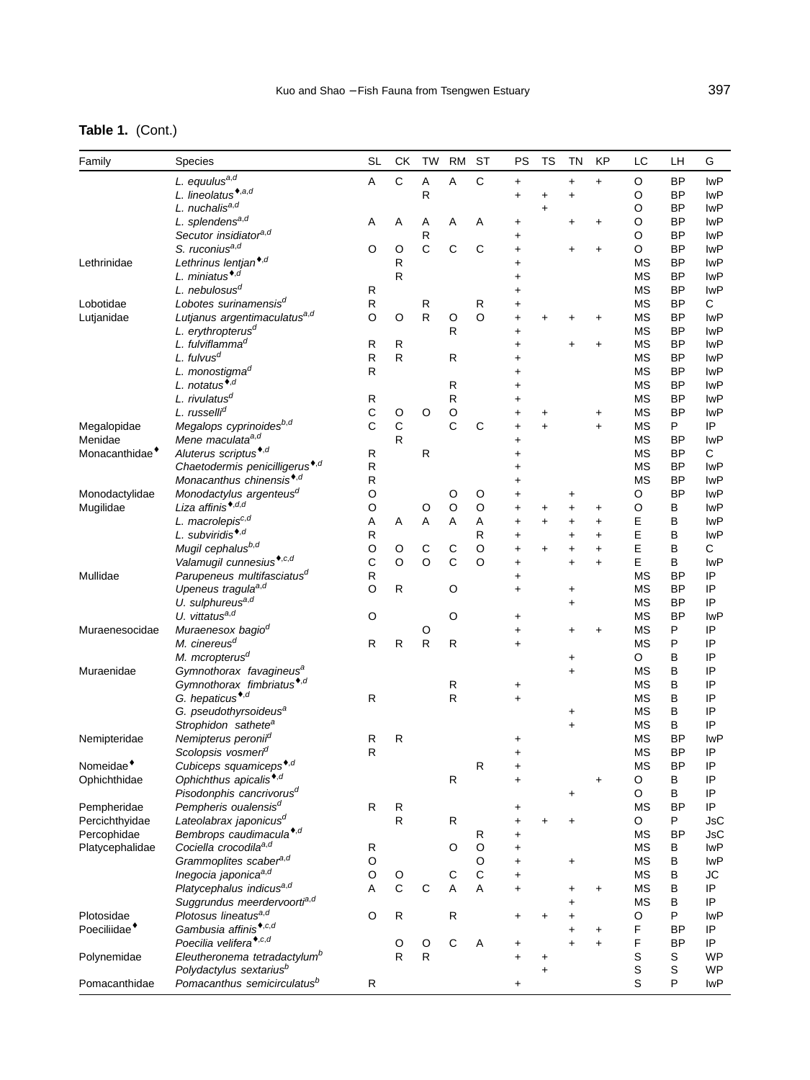# **Table 1.** (Cont.)

| Family                                 | Species                                                               | <b>SL</b>    | СK                | <b>TW</b>      | <b>RM</b>    | <b>ST</b>    | PS         | <b>TS</b>      | <b>TN</b>      | KP         | LC              | LH        | G                |
|----------------------------------------|-----------------------------------------------------------------------|--------------|-------------------|----------------|--------------|--------------|------------|----------------|----------------|------------|-----------------|-----------|------------------|
|                                        | L. equulusa,d                                                         | Α            | $\mathsf{C}$      | Α              | A            | $\mathsf{C}$ | $\ddagger$ |                | $\ddot{}$      | $\ddot{}$  | O               | <b>BP</b> | <b>IwP</b>       |
|                                        | L. lineolatus <sup>*,a,d</sup>                                        |              |                   | R              |              |              | $\ddot{}$  | $\ddot{}$      | $\ddot{}$      |            | O               | <b>BP</b> | <b>IwP</b>       |
|                                        | L. nuchalisa,d                                                        |              |                   |                |              |              |            | $\ddot{}$      |                |            | O               | BP        | <b>IwP</b>       |
|                                        | L. splendens <sup>a,d</sup>                                           | Α            | Α                 | Α              | Α            | Α            | $\ddot{}$  |                | $\ddot{}$      | $\ddot{}$  | O               | <b>BP</b> | <b>IwP</b>       |
|                                        | Secutor insidiatora,d                                                 |              |                   | R              |              |              | $\ddag$    |                |                |            | $\circ$         | ΒP        | <b>IwP</b>       |
|                                        | S. ruconius <sup>a,d</sup>                                            | O            | O                 | $\mathsf{C}$   | $\mathsf{C}$ | C            | $\ddot{}$  |                | $\ddot{}$      | $\ddot{}$  | O               | <b>BP</b> | <b>IwP</b>       |
| Lethrinidae                            | Lethrinus lentjan <sup>*,d</sup>                                      |              | ${\sf R}$         |                |              |              | +          |                |                |            | <b>MS</b>       | <b>BP</b> | <b>IwP</b>       |
|                                        | L. miniatus <sup>*,d</sup>                                            |              | $\mathsf{R}$      |                |              |              | +          |                |                |            | МS              | ΒP        | <b>IwP</b>       |
|                                        | L. nebulosus <sup>d</sup>                                             | R            |                   |                |              |              | $\ddot{}$  |                |                |            | <b>MS</b>       | <b>BP</b> | <b>IwP</b>       |
| Lobotidae                              | Lobotes surinamensis <sup>d</sup>                                     | ${\sf R}$    |                   | ${\sf R}$      |              | R            | +          |                |                |            | <b>MS</b>       | <b>BP</b> | C                |
| Lutjanidae                             | Lutjanus argentimaculatus <sup>a,d</sup>                              | $\circ$      | O                 | R              | O            | O            | $\ddot{}$  | +              | +              | +          | МS              | ΒP        | <b>IwP</b>       |
|                                        | L. erythropterus <sup>d</sup>                                         |              |                   |                | $\mathsf{R}$ |              | $\ddot{}$  |                |                |            | <b>MS</b>       | <b>BP</b> | <b>IwP</b>       |
|                                        | L. fulviflamma <sup>d</sup>                                           | R            | $\mathsf{R}$      |                |              |              | +          |                | $\ddot{}$      | +          | <b>MS</b>       | <b>BP</b> | <b>IwP</b>       |
|                                        | $L.$ fulvus <sup>d</sup>                                              | $\mathsf{R}$ | $\mathsf{R}$      |                | $\mathsf{R}$ |              | +          |                |                |            | <b>MS</b>       | ΒP        | <b>IwP</b>       |
|                                        | L. monostigma <sup>d</sup>                                            | $\mathsf{R}$ |                   |                |              |              | $\ddot{}$  |                |                |            | <b>MS</b>       | <b>BP</b> | <b>IwP</b>       |
|                                        | L. notatus <sup>*,d</sup>                                             |              |                   |                | R            |              | +          |                |                |            | МS              | <b>BP</b> | <b>IwP</b>       |
|                                        | L. rivulatus <sup>d</sup>                                             | R            |                   |                | ${\sf R}$    |              | +          |                |                |            | МS              | ΒP        | <b>IwP</b>       |
|                                        | L. russelli <sup>d</sup>                                              | $\mathsf C$  | O                 | O              | O            |              | +          | +              |                | $\ddot{}$  | <b>MS</b>       | <b>BP</b> | <b>IwP</b>       |
| Megalopidae                            | Megalops cyprinoidesb,d                                               | $\mathsf C$  | $\mathsf{C}$      |                | $\mathsf{C}$ | С            | $\ddag$    | $\ddot{}$      |                | $\ddot{}$  | <b>MS</b>       | P         | IP               |
| Menidae                                | Mene maculata <sup>a,d</sup>                                          |              | $\mathsf{R}$      |                |              |              | $\ddot{}$  |                |                |            | <b>MS</b>       | ΒP        | <b>IwP</b>       |
| Monacanthidae <sup>*</sup>             | Aluterus scriptus <sup>*,d</sup>                                      | R            |                   | R              |              |              | $\ddot{}$  |                |                |            | <b>MS</b>       | <b>BP</b> | C                |
|                                        | Chaetodermis penicilligerus <sup>*,d</sup>                            | ${\sf R}$    |                   |                |              |              | +          |                |                |            | <b>MS</b>       | <b>BP</b> | <b>IwP</b>       |
|                                        | Monacanthus chinensis <sup>*,d</sup>                                  | ${\sf R}$    |                   |                |              |              | +          |                |                |            | МS              | ΒP        | <b>IwP</b>       |
| Monodactylidae                         | Monodactylus argenteus <sup>a</sup>                                   | $\circ$      |                   |                | O            | O            | $\ddot{}$  |                | $\ddot{}$      |            | O               | <b>BP</b> | <b>IwP</b>       |
| Mugilidae                              | Liza affinis <sup>*,d,d</sup>                                         | O            |                   | O              | $\circ$      | $\circ$      | +          | +              | $\ddag$        | +          | O               | В         | <b>IwP</b>       |
|                                        | L. macrolepis <sup>c,d</sup>                                          | Α            | Α                 | A              | A            | Α            | $\ddot{}$  | $\ddot{}$      | $\ddot{}$      | $\ddot{}$  | E               | B         | <b>IwP</b>       |
|                                        | L. subviridis <sup>*,d</sup>                                          | R            |                   |                |              | $\mathsf{R}$ | $\ddot{}$  |                | $\ddot{}$      | $\ddot{}$  | E               | B         | <b>IwP</b>       |
|                                        | Mugil cephalusb,d                                                     | O            | O                 | C              | C            | O            | +          | +              | $\ddagger$     | $\ddot{}$  | Е               | B         | C                |
|                                        | Valamugil cunnesius <sup>*,c,d</sup>                                  | $\mathsf C$  | $\circ$           | $\circ$        | $\mathsf{C}$ | $\circ$      | $\ddot{}$  |                | $\ddot{}$      | $\ddagger$ | Е               | B         | <b>IwP</b>       |
| Mullidae                               | Parupeneus multifasciatus <sup>a</sup>                                | R            |                   |                |              |              | $\ddot{}$  |                |                |            | МS              | <b>BP</b> | IP               |
|                                        | Upeneus tragula <sup>a,d</sup>                                        | O            | R                 |                | O            |              | +          |                | +              |            | <b>MS</b>       | <b>BP</b> | IP               |
|                                        | U. sulphureus <sup>a,d</sup>                                          |              |                   |                |              |              |            |                | $\ddot{}$      |            | МS              | ΒP        | IP               |
|                                        | U. vittatus <sup>a,d</sup>                                            | O            |                   |                | O            |              | $\ddot{}$  |                |                |            | <b>MS</b>       | <b>BP</b> | <b>IwP</b>       |
| Muraenesocidae                         | Muraenesox bagio <sup>d</sup>                                         |              |                   | O              |              |              | $\ddag$    |                | +              | $\ddot{}$  | <b>MS</b>       | P         | IP               |
|                                        | M. cinereus <sup>d</sup>                                              | R            | R                 | ${\sf R}$      | $\mathsf{R}$ |              | $\ddot{}$  |                |                |            | <b>MS</b>       | P         | IP               |
|                                        | M. mcropterus <sup>d</sup>                                            |              |                   |                |              |              |            |                | $\ddot{}$      |            | O               | В         | IP               |
| Muraenidae                             | Gymnothorax favagineus <sup>a</sup>                                   |              |                   |                |              |              |            |                | $\ddot{}$      |            | МS              | B         | IP               |
|                                        | Gymnothorax fimbriatus <sup>*,d</sup>                                 |              |                   |                | R            |              | +          |                |                |            | МS              | B         | IP               |
|                                        | G. hepaticus <sup>*,d</sup>                                           | $\mathsf{R}$ |                   |                | $\mathsf{R}$ |              | $\ddot{}$  |                |                |            | <b>MS</b>       | B         | IP               |
|                                        | G. pseudothyrsoideus <sup>a</sup>                                     |              |                   |                |              |              |            |                | +              |            | MS              | B         | IP               |
|                                        | Strophidon sathete <sup>a</sup>                                       |              |                   |                |              |              |            |                | $\ddot{}$      |            | МS              | В         | IP               |
| Nemipteridae                           | Nemipterus peronii <sup>d</sup>                                       | R            | $\mathsf{R}$      |                |              |              | +          |                |                |            | <b>MS</b>       | <b>BP</b> | <b>IwP</b>       |
|                                        | Scolopsis vosmeri <sup>d</sup>                                        | R            |                   |                |              |              | $\ddot{}$  |                |                |            | <b>MS</b>       | <b>BP</b> | IP               |
| Nomeidae <sup>*</sup>                  | Cubiceps squamiceps <sup>*,d</sup>                                    |              |                   |                |              | ${\sf R}$    | +          |                |                |            | <b>MS</b>       | <b>BP</b> | IP               |
| Ophichthidae                           | Ophichthus apicalis <sup>*,d</sup>                                    |              |                   |                | R            |              | $\ddot{}$  |                |                | +          | O               | B         | IP               |
|                                        | Pisodonphis cancrivorus <sup>a</sup>                                  |              |                   |                |              |              |            |                | $\ddot{}$      |            | O               | В         | IP               |
| Pempheridae                            | Pempheris oualensis <sup>d</sup>                                      | $\mathsf{R}$ | R                 |                |              |              | +          |                |                |            | МS              | ΒP        | IP               |
| Percichthyidae                         | Lateolabrax japonicus <sup>d</sup>                                    |              | ${\sf R}$         |                | R            |              | $\ddot{}$  | +              |                |            | O               | P         | <b>JsC</b>       |
| Percophidae                            | Bembrops caudimacula <sup>*,d</sup>                                   |              |                   |                |              | R            | $\ddag$    |                |                |            | МS              | <b>BP</b> | <b>JsC</b>       |
| Platycephalidae                        | Cociella crocodilaa,d                                                 | R            |                   |                | O            | O            | $\ddot{}$  |                |                |            | МS              | в         | <b>IwP</b>       |
|                                        | Grammoplites scaber <sup>a,d</sup>                                    | O            |                   |                |              | O            | $\ddot{}$  |                | $\ddot{}$      |            | МS              | В         | lwP              |
|                                        | Inegocia japonica <sup>a,d</sup>                                      | O            | O<br>$\mathsf{C}$ | C              | C<br>A       | C<br>A       | +          |                |                |            | МS              | B         | JС<br>IP         |
|                                        | Platycephalus indicus <sup>a,d</sup>                                  | Α            |                   |                |              |              | $\ddot{}$  |                | +              | $\ddot{}$  | МS<br><b>MS</b> | B         | IP               |
|                                        | Suggrundus meerdervoortia,d                                           |              |                   |                |              |              |            |                | +              |            |                 | В         |                  |
| Plotosidae<br>Poeciliidae <sup>*</sup> | Plotosus lineatus <sup>a,d</sup><br>Gambusia affinis <sup>*,c,d</sup> | $\circ$      | $\mathsf{R}$      |                | ${\sf R}$    |              | $\ddot{}$  | +              |                |            | O<br>F          | P<br>ΒP   | <b>IwP</b><br>IP |
|                                        | Poecilia velifera <sup>*,c,d</sup>                                    |              |                   |                | C            | A            |            |                | +<br>$\ddot{}$ | $\ddot{}$  | F               | ΒP        | IP               |
|                                        | Eleutheronema tetradactylum <sup>b</sup>                              |              | O<br>R            | O<br>${\sf R}$ |              |              | $\ddot{}$  |                |                | $\ddot{}$  | S               | S         | <b>WP</b>        |
| Polynemidae                            | Polydactylus sextarius <sup>b</sup>                                   |              |                   |                |              |              | $\ddot{}$  | +<br>$\ddot{}$ |                |            | S               | S         | WP               |
| Pomacanthidae                          | Pomacanthus semicirculatus <sup>b</sup>                               | R            |                   |                |              |              | $\ddot{}$  |                |                |            | S               | P         | lwP              |
|                                        |                                                                       |              |                   |                |              |              |            |                |                |            |                 |           |                  |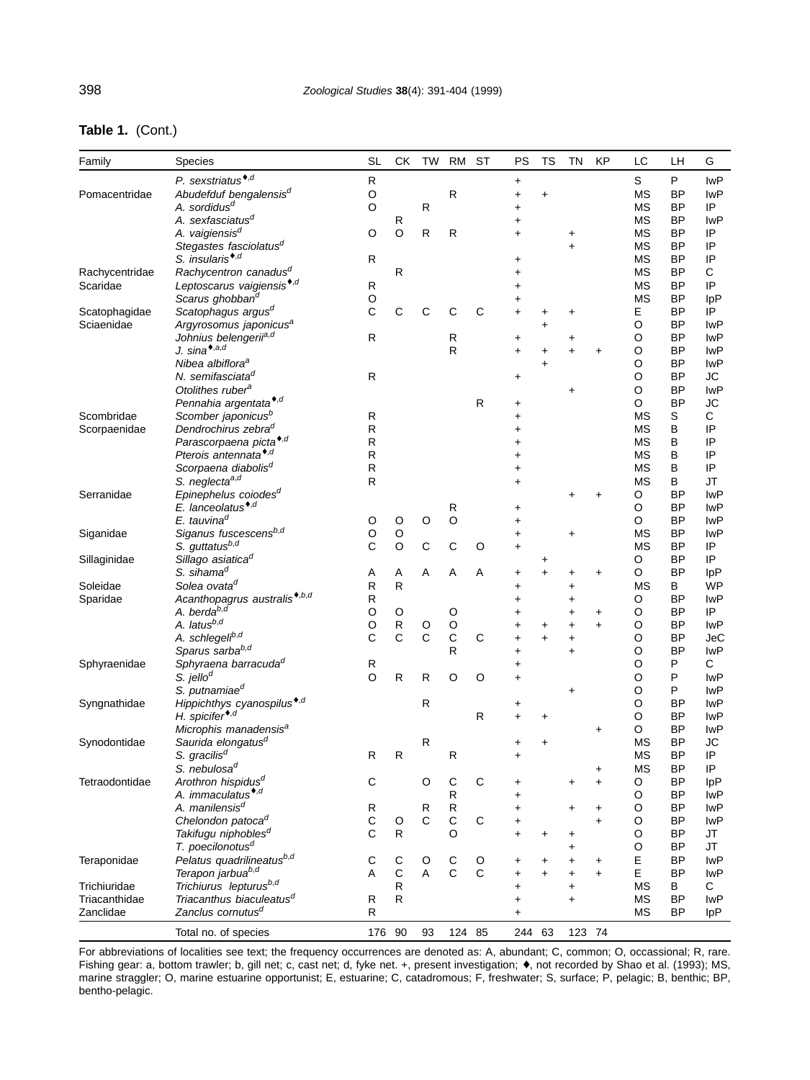| Table 1. (Cont.) |  |
|------------------|--|
|------------------|--|

| Family         | Species                                                  | <b>SL</b>   | СK                | TW           | <b>RM</b>    | <b>ST</b>    | PS             | TS             | TN                     | KP                     | LC          | LН                     | G                        |
|----------------|----------------------------------------------------------|-------------|-------------------|--------------|--------------|--------------|----------------|----------------|------------------------|------------------------|-------------|------------------------|--------------------------|
|                | P. sexstriatus <sup>*,d</sup>                            | R           |                   |              |              |              | +              |                |                        |                        | S           | P                      | <b>IwP</b>               |
| Pomacentridae  | Abudefduf bengalensis <sup>d</sup>                       | O           |                   |              | $\mathsf{R}$ |              | $\ddot{}$      | $\ddot{}$      |                        |                        | <b>MS</b>   | <b>BP</b>              | <b>IwP</b>               |
|                | A. sordidus <sup>d</sup>                                 | O           |                   | ${\sf R}$    |              |              | +              |                |                        |                        | MS          | <b>BP</b>              | IP                       |
|                | A. sexfasciatus <sup>d</sup>                             |             | R                 |              |              |              | $\ddot{}$      |                |                        |                        | МS          | <b>BP</b>              | <b>IwP</b>               |
|                | A. vaigiensis <sup>d</sup>                               | O           | O                 | $\mathsf{R}$ | $\mathsf{R}$ |              | $\ddot{}$      |                | +                      |                        | ΜS          | <b>BP</b>              | IP                       |
|                | Stegastes fasciolatus <sup>d</sup>                       |             |                   |              |              |              |                |                | $\ddot{}$              |                        | МS          | <b>BP</b>              | IP                       |
|                | S. insularis <sup>*,d</sup>                              | R           |                   |              |              |              | +              |                |                        |                        | ΜS          | BP                     | IP                       |
| Rachycentridae | Rachycentron canadus <sup>d</sup>                        |             | R                 |              |              |              | $\ddot{}$      |                |                        |                        | ΜS          | <b>BP</b>              | C                        |
| Scaridae       | Leptoscarus vaigiensis <sup>*,d</sup>                    | R           |                   |              |              |              | $\ddot{}$      |                |                        |                        | МS          | <b>BP</b>              | IP                       |
|                | Scarus ghobban <sup>d</sup>                              | O           |                   |              |              |              | +              |                |                        |                        | ΜS          | BP                     | IpP                      |
| Scatophagidae  | Scatophagus argus <sup>d</sup>                           | C           | С                 | С            | C            | С            | $\ddot{}$      |                | +                      |                        | E           | <b>BP</b>              | IP                       |
| Sciaenidae     | Argyrosomus japonicus <sup>a</sup>                       |             |                   |              |              |              |                | +              |                        |                        | O           | <b>BP</b>              | <b>IwP</b>               |
|                | Johnius belengerifa,d                                    | R           |                   |              | R            |              | $\ddot{}$      |                | +                      |                        | Ο           | <b>BP</b>              | <b>IwP</b>               |
|                | J. sina*, $a,d$                                          |             |                   |              | R            |              | $\ddot{}$      | +              | $\ddot{}$              | $\ddot{}$              | $\circ$     | <b>BP</b>              | <b>IwP</b>               |
|                | Nibea albiflora <sup>a</sup>                             |             |                   |              |              |              |                | $\ddot{}$      |                        |                        | Ο           | BP                     | <b>IwP</b>               |
|                | N. semifasciata <sup>d</sup>                             | R           |                   |              |              |              | +              |                |                        |                        | O           | <b>BP</b>              | <b>JC</b>                |
|                | Otolithes ruber <sup>a</sup>                             |             |                   |              |              |              |                |                | +                      |                        | O           | <b>BP</b>              | <b>IwP</b>               |
|                | Pennahia argentata <sup>*,d</sup>                        |             |                   |              |              | ${\sf R}$    | +              |                |                        |                        | O           | <b>BP</b>              | JС                       |
| Scombridae     | Scomber japonicus <sup>b</sup>                           | R           |                   |              |              |              | +              |                |                        |                        | <b>MS</b>   | S                      | $\mathsf C$              |
| Scorpaenidae   | Dendrochirus zebra <sup>d</sup>                          | R           |                   |              |              |              | +              |                |                        |                        | МS          | В                      | IP                       |
|                | Parascorpaena picta <sup>*,d</sup>                       | R           |                   |              |              |              |                |                |                        |                        | ΜS          | B                      | IP                       |
|                | Pterois antennata <sup>*,d</sup>                         | R           |                   |              |              |              | +              |                |                        |                        | ΜS          | B                      | IP                       |
|                | Scorpaena diabolis <sup>d</sup>                          | R           |                   |              |              |              | $\ddot{}$      |                |                        |                        | ΜS          | B                      | IP                       |
|                | S. neglecta <sup>a,d</sup>                               | R           |                   |              |              |              | +              |                |                        |                        | <b>MS</b>   | B                      | <b>JT</b><br><b>IwP</b>  |
| Serranidae     | Epinephelus coiodes <sup>a</sup>                         |             |                   |              |              |              |                |                | +                      | +                      | O           | BP                     |                          |
|                | E. lanceolatus <sup>*,d</sup><br>E. tauvina <sup>d</sup> |             |                   |              | R            |              | +              |                |                        |                        | O           | <b>BP</b>              | <b>IwP</b>               |
|                | Siganus fuscescensb,d                                    | O           | O<br>$\circ$      | O            | $\circ$      |              | $\ddot{}$      |                |                        |                        | O           | <b>BP</b><br><b>BP</b> | <b>IwP</b><br><b>IwP</b> |
| Siganidae      | S. guttatus <sup>b,d</sup>                               | O<br>C      | $\circ$           | $\mathsf C$  | $\mathsf{C}$ |              | $\ddot{}$      |                | +                      |                        | <b>MS</b>   | <b>BP</b>              | IP                       |
|                | Sillago asiatica <sup>d</sup>                            |             |                   |              |              | $\circ$      | $\ddot{}$      |                |                        |                        | МS<br>O     | BP                     | IP                       |
| Sillaginidae   | S. sihama <sup>d</sup>                                   |             |                   | Α            | Α            | Α            |                | +<br>$\ddot{}$ |                        |                        | O           | <b>BP</b>              | IpP                      |
| Soleidae       | Solea ovata <sup>d</sup>                                 | Α<br>R      | Α<br>$\mathsf{R}$ |              |              |              | +              |                | $\ddag$                | $\ddot{}$              | <b>MS</b>   | В                      | <b>WP</b>                |
| Sparidae       | Acanthopagrus australis <sup>*,b,d</sup>                 | R           |                   |              |              |              | +              |                | $\ddot{}$              |                        | O           | <b>BP</b>              | <b>IwP</b>               |
|                | A. berda <sup>b,d</sup>                                  | O           | O                 |              | O            |              | +<br>$\ddot{}$ |                | +<br>$\ddot{}$         |                        | O           | <b>BP</b>              | IP                       |
|                | A. latusb,d                                              | O           | ${\sf R}$         | O            | O            |              | +              | +              | +                      | $\ddot{}$<br>$\ddot{}$ | O           | BP                     | <b>IwP</b>               |
|                | A. schlegeli <sup>b,d</sup>                              | C           | $\mathsf{C}$      | $\mathsf{C}$ | $\mathsf{C}$ | C            | $\ddag$        | $\ddot{}$      | $\ddot{}$              |                        | O           | <b>BP</b>              | <b>JeC</b>               |
|                | Sparus sarbab,d                                          |             |                   |              | R            |              | $\ddot{}$      |                | $\ddot{}$              |                        | Ο           | <b>BP</b>              | <b>IwP</b>               |
| Sphyraenidae   | Sphyraena barracuda <sup>d</sup>                         | R           |                   |              |              |              | $\ddag$        |                |                        |                        | Ο           | P                      | C                        |
|                | S. jello $d$                                             | $\circ$     | ${\sf R}$         | R            | O            | $\circ$      | $\ddot{}$      |                |                        |                        | Ο           | P                      | <b>IwP</b>               |
|                | S. putnamiae <sup>d</sup>                                |             |                   |              |              |              |                |                | +                      |                        | Ο           | P                      | <b>IwP</b>               |
| Syngnathidae   | Hippichthys cyanospilus <sup>*,d</sup>                   |             |                   | R            |              |              | +              |                |                        |                        | O           | <b>BP</b>              | <b>IwP</b>               |
|                | H. spicifer <sup>*,d</sup>                               |             |                   |              |              | $\mathsf{R}$ | $\ddot{}$      | +              |                        |                        | O           | <b>BP</b>              | <b>IwP</b>               |
|                | Microphis manadensis <sup>a</sup>                        |             |                   |              |              |              |                |                |                        | $\ddot{}$              | O           | <b>BP</b>              | <b>IwP</b>               |
| Synodontidae   | Saurida elongatus <sup>d</sup>                           |             |                   | $\mathsf{R}$ |              |              | +              | $\ddot{}$      |                        |                        | <b>MS</b>   | <b>BP</b>              | <b>JC</b>                |
|                | S. gracilis <sup>d</sup>                                 | R           | R                 |              | R            |              |                |                |                        |                        | MS          | BP                     | IP                       |
|                | S. nebulosa <sup>d</sup>                                 |             |                   |              |              |              |                |                |                        | +                      | <b>MS</b>   | <b>BP</b>              | IP                       |
| Tetraodontidae | Arothron hispidus <sup>d</sup>                           | C           |                   | O            | C            | C            | +              |                | $\ddot{}$              | $\ddot{}$              | O           | <b>BP</b>              | <b>IpP</b>               |
|                | A. immaculatus <sup>*,d</sup>                            |             |                   |              | $\mathsf{R}$ |              | $\ddag$        |                |                        |                        | O           | BP                     | lwP                      |
|                | A. manilensis <sup>d</sup>                               | R           |                   | R            | R            |              | $\ddot{}$      |                | $\ddot{}$              | $\ddot{}$              | O           | BP                     | lwP                      |
|                | Chelondon patoca <sup>d</sup>                            | C           | O                 | C            | $\mathsf C$  | $\mathsf C$  | +              |                |                        | $\ddot{}$              | O           | BP                     | lwP                      |
|                | Takifugu niphobles <sup>d</sup>                          | $\mathsf C$ | $\mathsf{R}$      |              | O            |              | $\ddot{}$      | $\ddot{}$      | +                      |                        | O           | <b>BP</b>              | <b>JT</b>                |
|                | T. poecilonotus <sup>d</sup>                             |             |                   |              |              |              |                |                | +                      |                        | O           | <b>BP</b>              | JT                       |
| Teraponidae    | Pelatus quadrilineatusb,d                                | С           | С                 | O            | С            | O            | +              | +              | +                      | $\ddot{}$              | Ε           | <b>BP</b>              | lwP                      |
|                | Terapon jarbua <sup>b,d</sup>                            | Α           | $\mathsf C$       | A            | $\mathsf{C}$ | $\mathsf{C}$ | $\ddot{}$      | $\ddot{}$      | $\ddot{}$              | $\ddot{}$              | $\mathsf E$ | BP                     | lwP                      |
| Trichiuridae   | Trichiurus lepturus <sup>b,d</sup>                       |             | R                 |              |              |              |                |                |                        |                        | ΜS          | В                      | С                        |
| Triacanthidae  | Triacanthus biaculeatus <sup>d</sup>                     | R           | $\mathsf{R}$      |              |              |              | +<br>$\ddot{}$ |                | $\ddot{}$<br>$\ddot{}$ |                        | MS          | <b>BP</b>              | lwP                      |
| Zanclidae      | Zanclus cornutus <sup>d</sup>                            | R           |                   |              |              |              | $\ddot{}$      |                |                        |                        | MS          | BP                     | $_{\text{lpP}}$          |
|                |                                                          |             |                   |              |              |              |                |                |                        |                        |             |                        |                          |
|                | Total no. of species                                     | 176 90      |                   | 93           | 124 85       |              | 244 63         |                | 123 74                 |                        |             |                        |                          |

For abbreviations of localities see text; the frequency occurrences are denoted as: A, abundant; C, common; O, occassional; R, rare. Fishing gear: a, bottom trawler; b, gill net; c, cast net; d, fyke net. +, present investigation; ♦, not recorded by Shao et al. (1993); MS, marine straggler; O, marine estuarine opportunist; E, estuarine; C, catadromous; F, freshwater; S, surface; P, pelagic; B, benthic; BP, bentho-pelagic.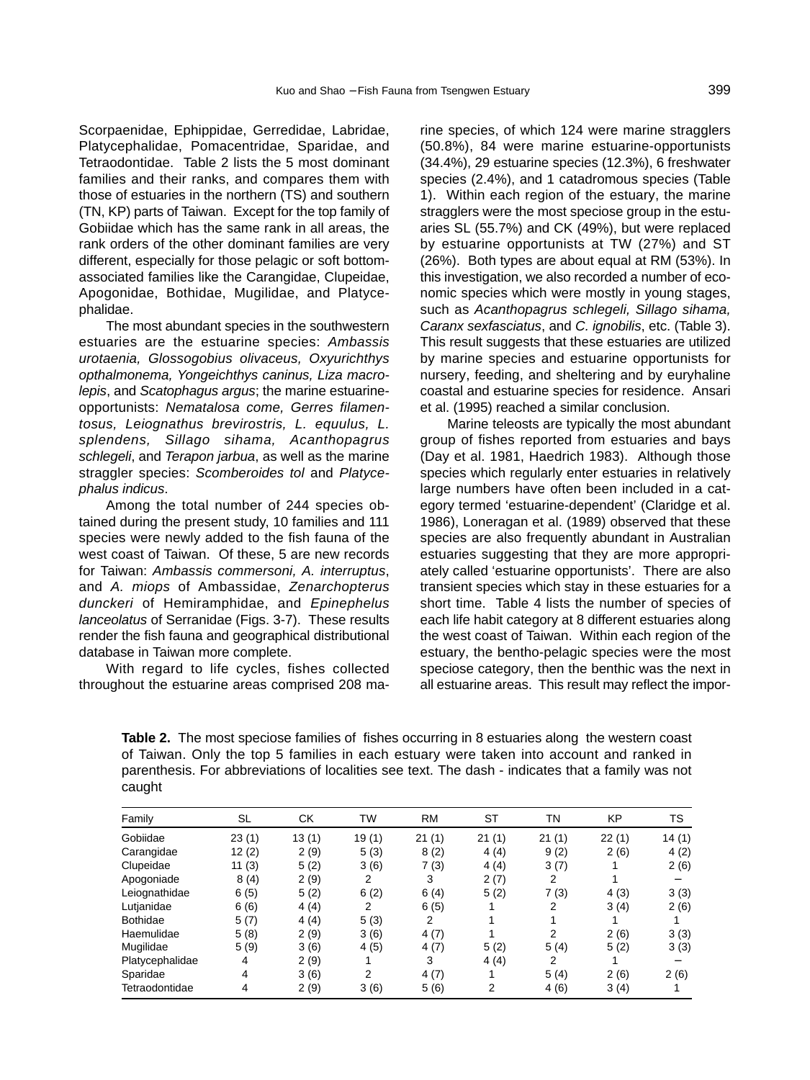Scorpaenidae, Ephippidae, Gerredidae, Labridae, Platycephalidae, Pomacentridae, Sparidae, and Tetraodontidae. Table 2 lists the 5 most dominant families and their ranks, and compares them with those of estuaries in the northern (TS) and southern (TN, KP) parts of Taiwan. Except for the top family of Gobiidae which has the same rank in all areas, the rank orders of the other dominant families are very different, especially for those pelagic or soft bottomassociated families like the Carangidae, Clupeidae, Apogonidae, Bothidae, Mugilidae, and Platycephalidae.

The most abundant species in the southwestern estuaries are the estuarine species: Ambassis urotaenia, Glossogobius olivaceus, Oxyurichthys opthalmonema, Yongeichthys caninus, Liza macrolepis, and Scatophagus argus; the marine estuarineopportunists: Nematalosa come, Gerres filamentosus, Leiognathus brevirostris, L. equulus, L. splendens, Sillago sihama, Acanthopagrus schlegeli, and Terapon jarbua, as well as the marine straggler species: Scomberoides tol and Platycephalus indicus.

Among the total number of 244 species obtained during the present study, 10 families and 111 species were newly added to the fish fauna of the west coast of Taiwan. Of these, 5 are new records for Taiwan: Ambassis commersoni, A. interruptus, and A. miops of Ambassidae, Zenarchopterus dunckeri of Hemiramphidae, and Epinephelus lanceolatus of Serranidae (Figs. 3-7). These results render the fish fauna and geographical distributional database in Taiwan more complete.

With regard to life cycles, fishes collected throughout the estuarine areas comprised 208 marine species, of which 124 were marine stragglers (50.8%), 84 were marine estuarine-opportunists (34.4%), 29 estuarine species (12.3%), 6 freshwater species (2.4%), and 1 catadromous species (Table 1). Within each region of the estuary, the marine stragglers were the most speciose group in the estuaries SL (55.7%) and CK (49%), but were replaced by estuarine opportunists at TW (27%) and ST (26%). Both types are about equal at RM (53%). In this investigation, we also recorded a number of economic species which were mostly in young stages, such as Acanthopagrus schlegeli, Sillago sihama, Caranx sexfasciatus, and C. ignobilis, etc. (Table 3). This result suggests that these estuaries are utilized by marine species and estuarine opportunists for nursery, feeding, and sheltering and by euryhaline coastal and estuarine species for residence. Ansari et al. (1995) reached a similar conclusion.

Marine teleosts are typically the most abundant group of fishes reported from estuaries and bays (Day et al. 1981, Haedrich 1983). Although those species which regularly enter estuaries in relatively large numbers have often been included in a category termed 'estuarine-dependent' (Claridge et al. 1986), Loneragan et al. (1989) observed that these species are also frequently abundant in Australian estuaries suggesting that they are more appropriately called 'estuarine opportunists'. There are also transient species which stay in these estuaries for a short time. Table 4 lists the number of species of each life habit category at 8 different estuaries along the west coast of Taiwan. Within each region of the estuary, the bentho-pelagic species were the most speciose category, then the benthic was the next in all estuarine areas. This result may reflect the impor-

**Table 2.** The most speciose families of fishes occurring in 8 estuaries along the western coast of Taiwan. Only the top 5 families in each estuary were taken into account and ranked in parenthesis. For abbreviations of localities see text. The dash - indicates that a family was not caught

| Family          | SL    | <b>CK</b> | TW    | <b>RM</b> | ST    | TN    | ΚP    | TS    |
|-----------------|-------|-----------|-------|-----------|-------|-------|-------|-------|
| Gobiidae        | 23(1) | 13(1)     | 19(1) | 21(1)     | 21(1) | 21(1) | 22(1) | 14(1) |
| Carangidae      | 12(2) | 2(9)      | 5(3)  | 8(2)      | 4(4)  | 9(2)  | 2(6)  | 4(2)  |
| Clupeidae       | 11(3) | 5(2)      | 3(6)  | 7(3)      | 4(4)  | 3(7)  |       | 2(6)  |
| Apogoniade      | 8(4)  | 2(9)      | 2     | 3         | 2(7)  | 2     |       |       |
| Leiognathidae   | 6(5)  | 5(2)      | 6(2)  | 6(4)      | 5(2)  | 7(3)  | 4(3)  | 3(3)  |
| Lutjanidae      | 6(6)  | 4(4)      | 2     | 6(5)      |       | 2     | 3(4)  | 2(6)  |
| <b>Bothidae</b> | 5(7)  | 4(4)      | 5(3)  | 2         |       |       |       |       |
| Haemulidae      | 5(8)  | 2(9)      | 3(6)  | 4(7)      |       | 2     | 2(6)  | 3(3)  |
| Mugilidae       | 5(9)  | 3(6)      | 4(5)  | 4(7)      | 5(2)  | 5(4)  | 5(2)  | 3(3)  |
| Platycephalidae | 4     | 2(9)      |       | 3         | 4(4)  | 2     |       |       |
| Sparidae        | 4     | 3(6)      | 2     | 4(7)      |       | 5(4)  | 2(6)  | 2(6)  |
| Tetraodontidae  | 4     | 2(9)      | 3(6)  | 5(6)      | 2     | 4(6)  | 3(4)  |       |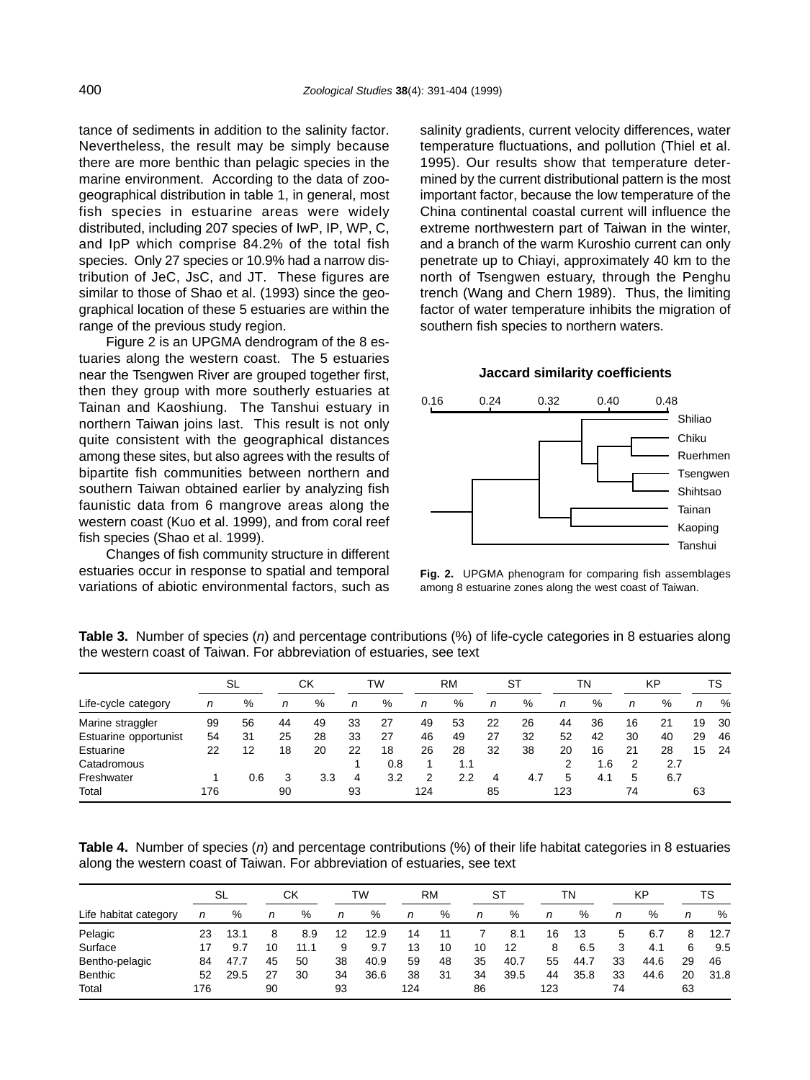tance of sediments in addition to the salinity factor. Nevertheless, the result may be simply because there are more benthic than pelagic species in the marine environment. According to the data of zoogeographical distribution in table 1, in general, most fish species in estuarine areas were widely distributed, including 207 species of IwP, IP, WP, C, and IpP which comprise 84.2% of the total fish species. Only 27 species or 10.9% had a narrow distribution of JeC, JsC, and JT. These figures are similar to those of Shao et al. (1993) since the geographical location of these 5 estuaries are within the range of the previous study region.

Figure 2 is an UPGMA dendrogram of the 8 estuaries along the western coast. The 5 estuaries near the Tsengwen River are grouped together first, then they group with more southerly estuaries at Tainan and Kaoshiung. The Tanshui estuary in northern Taiwan joins last. This result is not only quite consistent with the geographical distances among these sites, but also agrees with the results of bipartite fish communities between northern and southern Taiwan obtained earlier by analyzing fish faunistic data from 6 mangrove areas along the western coast (Kuo et al. 1999), and from coral reef fish species (Shao et al. 1999).

Changes of fish community structure in different estuaries occur in response to spatial and temporal variations of abiotic environmental factors, such as salinity gradients, current velocity differences, water temperature fluctuations, and pollution (Thiel et al. 1995). Our results show that temperature determined by the current distributional pattern is the most important factor, because the low temperature of the China continental coastal current will influence the extreme northwestern part of Taiwan in the winter, and a branch of the warm Kuroshio current can only penetrate up to Chiayi, approximately 40 km to the north of Tsengwen estuary, through the Penghu trench (Wang and Chern 1989). Thus, the limiting factor of water temperature inhibits the migration of southern fish species to northern waters.

### **Jaccard similarity coefficients**



**Fig. 2.** UPGMA phenogram for comparing fish assemblages among 8 estuarine zones along the west coast of Taiwan.

**Table 3.** Number of species (n) and percentage contributions (%) of life-cycle categories in 8 estuaries along the western coast of Taiwan. For abbreviation of estuaries, see text

|                       |     | SL  |    | СK  |    | TW  |     | RM  |    | ST  |     | ΤN  |    | KP  |    | TS  |  |
|-----------------------|-----|-----|----|-----|----|-----|-----|-----|----|-----|-----|-----|----|-----|----|-----|--|
| Life-cycle category   | n   | %   | n  | %   | n  | %   | n   | %   | n  | %   | n   | %   | n  | %   | n  | %   |  |
| Marine straggler      | 99  | 56  | 44 | 49  | 33 | 27  | 49  | 53  | 22 | 26  | 44  | 36  | 16 | 21  | 19 | 30  |  |
| Estuarine opportunist | 54  | 31  | 25 | 28  | 33 | 27  | 46  | 49  | 27 | 32  | 52  | 42  | 30 | 40  | 29 | 46  |  |
| Estuarine             | 22  | 12  | 18 | 20  | 22 | 18  | 26  | 28  | 32 | 38  | 20  | 16  | 21 | 28  | 15 | -24 |  |
| Catadromous           |     |     |    |     |    | 0.8 |     | 1.1 |    |     |     | 1.6 | 2  | 2.7 |    |     |  |
| Freshwater            |     | 0.6 |    | 3.3 | 4  | 3.2 | 2   | 2.2 | 4  | 4.7 | 5   | 4.1 | 5  | 6.7 |    |     |  |
| Total                 | 176 |     | 90 |     | 93 |     | 124 |     | 85 |     | 123 |     | 74 |     | 63 |     |  |

**Table 4.** Number of species (n) and percentage contributions (%) of their life habitat categories in 8 estuaries along the western coast of Taiwan. For abbreviation of estuaries, see text

|                       |     | SL   |    | СK   |    | TW   |     | <b>RM</b> |    | ST   |     | TΝ   |    | KP   |    | TS   |  |
|-----------------------|-----|------|----|------|----|------|-----|-----------|----|------|-----|------|----|------|----|------|--|
| Life habitat category | n   | %    | n  | %    | n  | %    | n   | %         | n  | %    | n   | %    | n  | %    | n  | %    |  |
| Pelagic               | 23  | 13.1 | 8  | 8.9  | 12 | 12.9 | 14  | 11        |    | 8.1  | 16  | 13   | 5  | 6.7  | 8  | 12.7 |  |
| Surface               | 17  | 9.7  | 10 | 11.1 | 9  | 9.7  | 13  | 10        | 10 | 12   | 8   | 6.5  | 3  | 4.1  | 6  | 9.5  |  |
| Bentho-pelagic        | 84  | 47.7 | 45 | 50   | 38 | 40.9 | 59  | 48        | 35 | 40.7 | 55  | 44.7 | 33 | 44.6 | 29 | 46   |  |
| <b>Benthic</b>        | 52  | 29.5 | 27 | 30   | 34 | 36.6 | 38  | 31        | 34 | 39.5 | 44  | 35.8 | 33 | 44.6 | 20 | 31.8 |  |
| Total                 | 176 |      | 90 |      | 93 |      | 124 |           | 86 |      | 123 |      | 74 |      | 63 |      |  |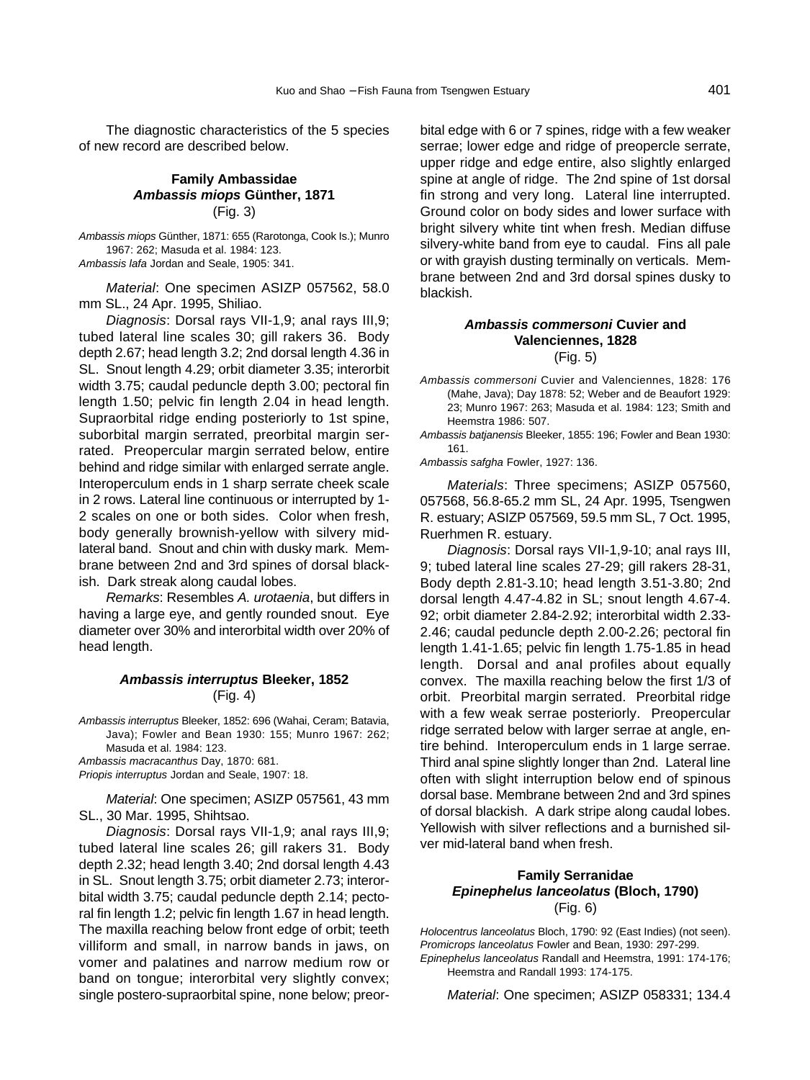The diagnostic characteristics of the 5 species of new record are described below.

#### **Family Ambassidae Ambassis miops Günther, 1871** (Fig. 3)

Ambassis miops Günther, 1871: 655 (Rarotonga, Cook Is.); Munro 1967: 262; Masuda et al. 1984: 123. Ambassis lafa Jordan and Seale, 1905: 341.

Material: One specimen ASIZP 057562, 58.0 mm SL., 24 Apr. 1995, Shiliao.

Diagnosis: Dorsal rays VII-1,9; anal rays III,9; tubed lateral line scales 30; gill rakers 36. Body depth 2.67; head length 3.2; 2nd dorsal length 4.36 in SL. Snout length 4.29; orbit diameter 3.35; interorbit width 3.75; caudal peduncle depth 3.00; pectoral fin length 1.50; pelvic fin length 2.04 in head length. Supraorbital ridge ending posteriorly to 1st spine, suborbital margin serrated, preorbital margin serrated. Preopercular margin serrated below, entire behind and ridge similar with enlarged serrate angle. Interoperculum ends in 1 sharp serrate cheek scale in 2 rows. Lateral line continuous or interrupted by 1- 2 scales on one or both sides. Color when fresh, body generally brownish-yellow with silvery midlateral band. Snout and chin with dusky mark. Membrane between 2nd and 3rd spines of dorsal blackish. Dark streak along caudal lobes.

Remarks: Resembles A. urotaenia, but differs in having a large eye, and gently rounded snout. Eye diameter over 30% and interorbital width over 20% of head length.

#### **Ambassis interruptus Bleeker, 1852** (Fig. 4)

Ambassis interruptus Bleeker, 1852: 696 (Wahai, Ceram; Batavia, Java); Fowler and Bean 1930: 155; Munro 1967: 262; Masuda et al. 1984: 123.

Ambassis macracanthus Day, 1870: 681.

Priopis interruptus Jordan and Seale, 1907: 18.

Material: One specimen; ASIZP 057561, 43 mm SL., 30 Mar. 1995, Shihtsao.

Diagnosis: Dorsal rays VII-1,9; anal rays III,9; tubed lateral line scales 26; gill rakers 31. Body depth 2.32; head length 3.40; 2nd dorsal length 4.43 in SL. Snout length 3.75; orbit diameter 2.73; interorbital width 3.75; caudal peduncle depth 2.14; pectoral fin length 1.2; pelvic fin length 1.67 in head length. The maxilla reaching below front edge of orbit; teeth villiform and small, in narrow bands in jaws, on vomer and palatines and narrow medium row or band on tongue; interorbital very slightly convex; single postero-supraorbital spine, none below; preorbital edge with 6 or 7 spines, ridge with a few weaker serrae; lower edge and ridge of preopercle serrate, upper ridge and edge entire, also slightly enlarged spine at angle of ridge. The 2nd spine of 1st dorsal fin strong and very long. Lateral line interrupted. Ground color on body sides and lower surface with bright silvery white tint when fresh. Median diffuse silvery-white band from eye to caudal. Fins all pale or with grayish dusting terminally on verticals. Membrane between 2nd and 3rd dorsal spines dusky to blackish.

## **Ambassis commersoni Cuvier and Valenciennes, 1828**

(Fig. 5)

Ambassis commersoni Cuvier and Valenciennes, 1828: 176 (Mahe, Java); Day 1878: 52; Weber and de Beaufort 1929: 23; Munro 1967: 263; Masuda et al. 1984: 123; Smith and Heemstra 1986: 507.

Ambassis batianensis Bleeker, 1855; 196; Fowler and Bean 1930; 161.

Ambassis safgha Fowler, 1927: 136.

Materials: Three specimens; ASIZP 057560, 057568, 56.8-65.2 mm SL, 24 Apr. 1995, Tsengwen R. estuary; ASIZP 057569, 59.5 mm SL, 7 Oct. 1995, Ruerhmen R. estuary.

Diagnosis: Dorsal rays VII-1,9-10; anal rays III, 9; tubed lateral line scales 27-29; gill rakers 28-31, Body depth 2.81-3.10; head length 3.51-3.80; 2nd dorsal length 4.47-4.82 in SL; snout length 4.67-4. 92; orbit diameter 2.84-2.92; interorbital width 2.33- 2.46; caudal peduncle depth 2.00-2.26; pectoral fin length 1.41-1.65; pelvic fin length 1.75-1.85 in head length. Dorsal and anal profiles about equally convex. The maxilla reaching below the first 1/3 of orbit. Preorbital margin serrated. Preorbital ridge with a few weak serrae posteriorly. Preopercular ridge serrated below with larger serrae at angle, entire behind. Interoperculum ends in 1 large serrae. Third anal spine slightly longer than 2nd. Lateral line often with slight interruption below end of spinous dorsal base. Membrane between 2nd and 3rd spines of dorsal blackish. A dark stripe along caudal lobes. Yellowish with silver reflections and a burnished silver mid-lateral band when fresh.

### **Family Serranidae Epinephelus lanceolatus (Bloch, 1790)** (Fig. 6)

Holocentrus lanceolatus Bloch, 1790: 92 (East Indies) (not seen). Promicrops lanceolatus Fowler and Bean, 1930: 297-299. Epinephelus lanceolatus Randall and Heemstra, 1991: 174-176; Heemstra and Randall 1993: 174-175.

Material: One specimen; ASIZP 058331; 134.4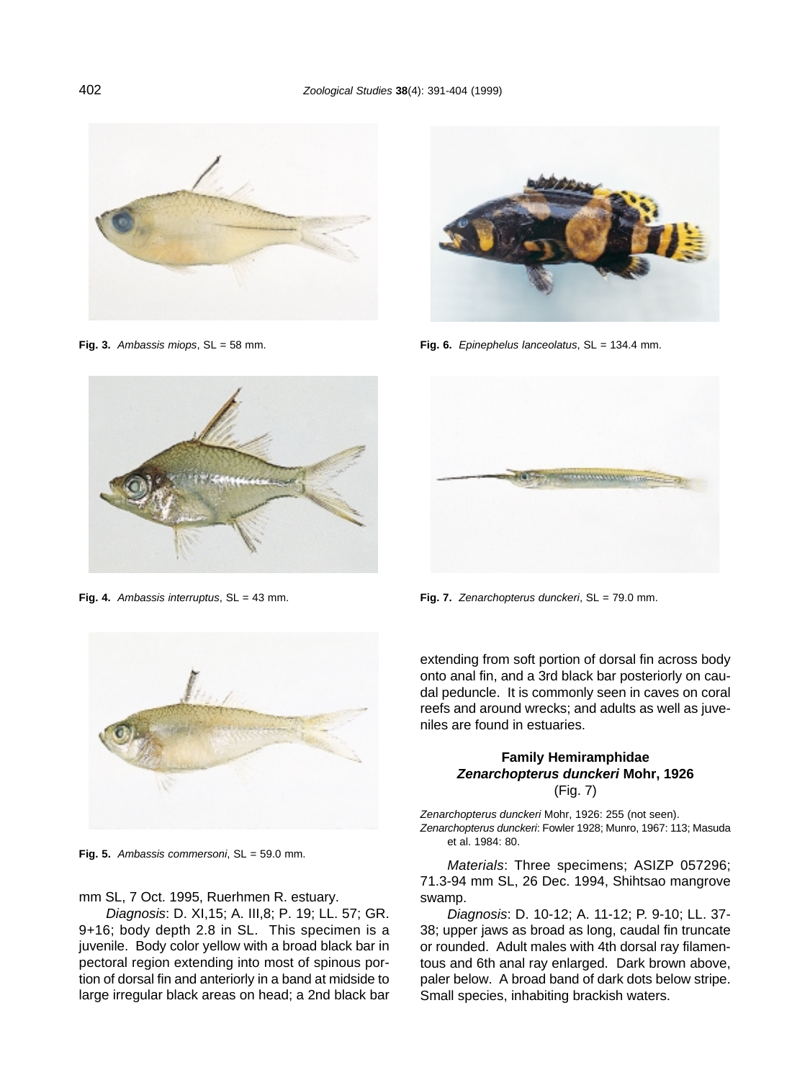

Fig. 3. Ambassis miops, SL = 58 mm.



Fig. 6. Epinephelus lanceolatus, SL = 134.4 mm.



Fig. 4. Ambassis interruptus, SL = 43 mm.



**Fig. 5.** Ambassis commersoni, SL = 59.0 mm.

mm SL, 7 Oct. 1995, Ruerhmen R. estuary.

Diagnosis: D. XI,15; A. III,8; P. 19; LL. 57; GR. 9+16; body depth 2.8 in SL. This specimen is a juvenile. Body color yellow with a broad black bar in pectoral region extending into most of spinous portion of dorsal fin and anteriorly in a band at midside to large irregular black areas on head; a 2nd black bar



Fig. 7. Zenarchopterus dunckeri, SL = 79.0 mm.

extending from soft portion of dorsal fin across body onto anal fin, and a 3rd black bar posteriorly on caudal peduncle. It is commonly seen in caves on coral reefs and around wrecks; and adults as well as juveniles are found in estuaries.

#### **Family Hemiramphidae Zenarchopterus dunckeri Mohr, 1926** (Fig. 7)

Zenarchopterus dunckeri Mohr, 1926: 255 (not seen). Zenarchopterus dunckeri: Fowler 1928; Munro, 1967: 113; Masuda et al. 1984: 80.

Materials: Three specimens; ASIZP 057296; 71.3-94 mm SL, 26 Dec. 1994, Shihtsao mangrove swamp.

Diagnosis: D. 10-12; A. 11-12; P. 9-10; LL. 37- 38; upper jaws as broad as long, caudal fin truncate or rounded. Adult males with 4th dorsal ray filamentous and 6th anal ray enlarged. Dark brown above, paler below. A broad band of dark dots below stripe. Small species, inhabiting brackish waters.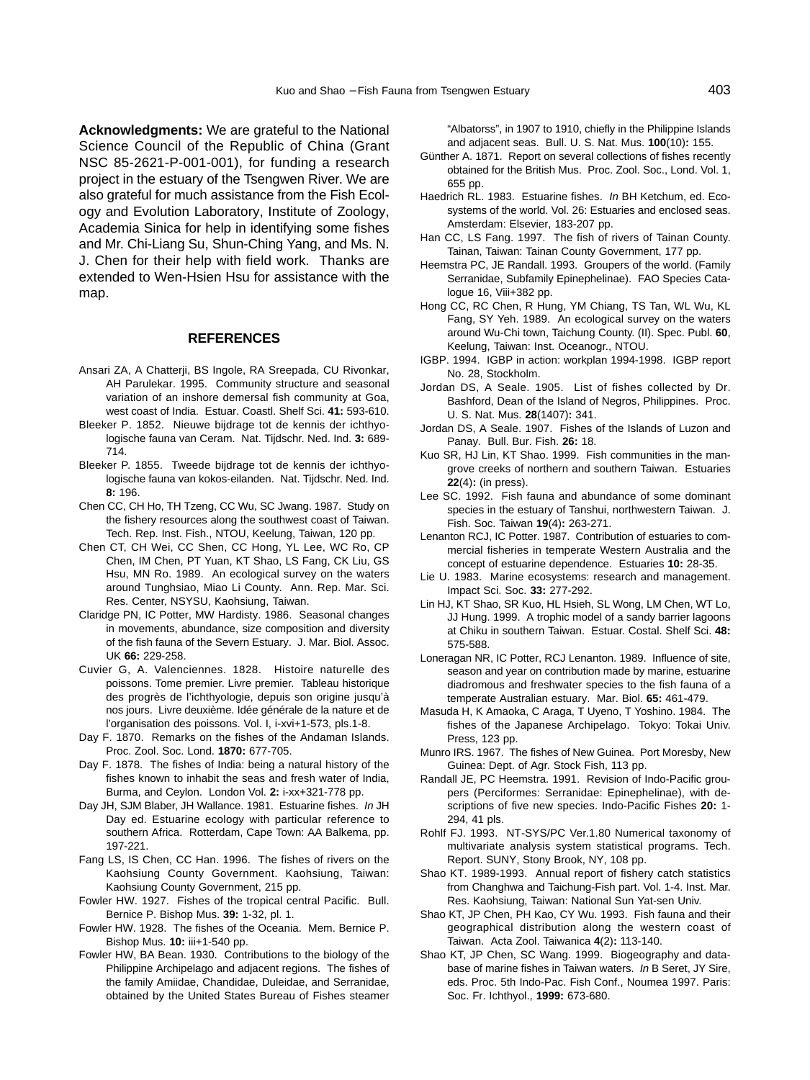**Acknowledgments:** We are grateful to the National Science Council of the Republic of China (Grant NSC 85-2621-P-001-001), for funding a research project in the estuary of the Tsengwen River. We are also grateful for much assistance from the Fish Ecology and Evolution Laboratory, Institute of Zoology, Academia Sinica for help in identifying some fishes and Mr. Chi-Liang Su, Shun-Ching Yang, and Ms. N. J. Chen for their help with field work. Thanks are extended to Wen-Hsien Hsu for assistance with the map.

#### **REFERENCES**

- Ansari ZA, A Chatterji, BS Ingole, RA Sreepada, CU Rivonkar, AH Parulekar. 1995. Community structure and seasonal variation of an inshore demersal fish community at Goa, west coast of India. Estuar. Coastl. Shelf Sci. **41:** 593-610.
- Bleeker P. 1852. Nieuwe bijdrage tot de kennis der ichthyologische fauna van Ceram. Nat. Tijdschr. Ned. Ind. **3:** 689- 714.
- Bleeker P. 1855. Tweede bijdrage tot de kennis der ichthyologische fauna van kokos-eilanden. Nat. Tijdschr. Ned. Ind. **8:** 196.
- Chen CC, CH Ho, TH Tzeng, CC Wu, SC Jwang. 1987. Study on the fishery resources along the southwest coast of Taiwan. Tech. Rep. Inst. Fish., NTOU, Keelung, Taiwan, 120 pp.
- Chen CT, CH Wei, CC Shen, CC Hong, YL Lee, WC Ro, CP Chen, IM Chen, PT Yuan, KT Shao, LS Fang, CK Liu, GS Hsu, MN Ro. 1989. An ecological survey on the waters around Tunghsiao, Miao Li County. Ann. Rep. Mar. Sci. Res. Center, NSYSU, Kaohsiung, Taiwan.
- Claridge PN, IC Potter, MW Hardisty. 1986. Seasonal changes in movements, abundance, size composition and diversity of the fish fauna of the Severn Estuary. J. Mar. Biol. Assoc. UK **66:** 229-258.
- Cuvier G, A. Valenciennes. 1828. Histoire naturelle des poissons. Tome premier. Livre premier. Tableau historique des progrès de l'ichthyologie, depuis son origine jusqu'à nos jours. Livre deuxième. Idée générale de la nature et de l'organisation des poissons. Vol. I, i-xvi+1-573, pls.1-8.
- Day F. 1870. Remarks on the fishes of the Andaman Islands. Proc. Zool. Soc. Lond. **1870:** 677-705.
- Day F. 1878. The fishes of India: being a natural history of the fishes known to inhabit the seas and fresh water of India, Burma, and Ceylon. London Vol. **2:** i-xx+321-778 pp.
- Day JH, SJM Blaber, JH Wallance. 1981. Estuarine fishes. In JH Day ed. Estuarine ecology with particular reference to southern Africa. Rotterdam, Cape Town: AA Balkema, pp. 197-221.
- Fang LS, IS Chen, CC Han. 1996. The fishes of rivers on the Kaohsiung County Government. Kaohsiung, Taiwan: Kaohsiung County Government, 215 pp.
- Fowler HW. 1927. Fishes of the tropical central Pacific. Bull. Bernice P. Bishop Mus. **39:** 1-32, pl. 1.
- Fowler HW. 1928. The fishes of the Oceania. Mem. Bernice P. Bishop Mus. **10:** iii+1-540 pp.
- Fowler HW, BA Bean. 1930. Contributions to the biology of the Philippine Archipelago and adjacent regions. The fishes of the family Amiidae, Chandidae, Duleidae, and Serranidae, obtained by the United States Bureau of Fishes steamer

"Albatorss", in 1907 to 1910, chiefly in the Philippine Islands and adjacent seas. Bull. U. S. Nat. Mus. **100**(10)**:** 155.

- Günther A. 1871. Report on several collections of fishes recently obtained for the British Mus. Proc. Zool. Soc., Lond. Vol. 1, 655 pp.
- Haedrich RL. 1983. Estuarine fishes. In BH Ketchum, ed. Ecosystems of the world. Vol. 26: Estuaries and enclosed seas. Amsterdam: Elsevier, 183-207 pp.
- Han CC, LS Fang. 1997. The fish of rivers of Tainan County. Tainan, Taiwan: Tainan County Government, 177 pp.
- Heemstra PC, JE Randall. 1993. Groupers of the world. (Family Serranidae, Subfamily Epinephelinae). FAO Species Catalogue 16, Viii+382 pp.
- Hong CC, RC Chen, R Hung, YM Chiang, TS Tan, WL Wu, KL Fang, SY Yeh. 1989. An ecological survey on the waters around Wu-Chi town, Taichung County. (II). Spec. Publ. **60**, Keelung, Taiwan: Inst. Oceanogr., NTOU.
- IGBP. 1994. IGBP in action: workplan 1994-1998. IGBP report No. 28, Stockholm.
- Jordan DS, A Seale. 1905. List of fishes collected by Dr. Bashford, Dean of the Island of Negros, Philippines. Proc. U. S. Nat. Mus. **28**(1407)**:** 341.
- Jordan DS, A Seale. 1907. Fishes of the Islands of Luzon and Panay. Bull. Bur. Fish. **26:** 18.
- Kuo SR, HJ Lin, KT Shao. 1999. Fish communities in the mangrove creeks of northern and southern Taiwan. Estuaries **22**(4)**:** (in press).
- Lee SC. 1992. Fish fauna and abundance of some dominant species in the estuary of Tanshui, northwestern Taiwan. J. Fish. Soc. Taiwan **19**(4)**:** 263-271.
- Lenanton RCJ, IC Potter. 1987. Contribution of estuaries to commercial fisheries in temperate Western Australia and the concept of estuarine dependence. Estuaries **10:** 28-35.
- Lie U. 1983. Marine ecosystems: research and management. Impact Sci. Soc. **33:** 277-292.
- Lin HJ, KT Shao, SR Kuo, HL Hsieh, SL Wong, LM Chen, WT Lo, JJ Hung. 1999. A trophic model of a sandy barrier lagoons at Chiku in southern Taiwan. Estuar. Costal. Shelf Sci. **48:** 575-588.
- Loneragan NR, IC Potter, RCJ Lenanton. 1989. Influence of site, season and year on contribution made by marine, estuarine diadromous and freshwater species to the fish fauna of a temperate Australian estuary. Mar. Biol. **65:** 461-479.
- Masuda H, K Amaoka, C Araga, T Uyeno, T Yoshino. 1984. The fishes of the Japanese Archipelago. Tokyo: Tokai Univ. Press, 123 pp.
- Munro IRS. 1967. The fishes of New Guinea. Port Moresby, New Guinea: Dept. of Agr. Stock Fish, 113 pp.
- Randall JE, PC Heemstra. 1991. Revision of Indo-Pacific groupers (Perciformes: Serranidae: Epinephelinae), with descriptions of five new species. Indo-Pacific Fishes **20:** 1- 294, 41 pls.
- Rohlf FJ. 1993. NT-SYS/PC Ver.1.80 Numerical taxonomy of multivariate analysis system statistical programs. Tech. Report. SUNY, Stony Brook, NY, 108 pp.
- Shao KT. 1989-1993. Annual report of fishery catch statistics from Changhwa and Taichung-Fish part. Vol. 1-4. Inst. Mar. Res. Kaohsiung, Taiwan: National Sun Yat-sen Univ.
- Shao KT, JP Chen, PH Kao, CY Wu. 1993. Fish fauna and their geographical distribution along the western coast of Taiwan. Acta Zool. Taiwanica **4**(2)**:** 113-140.
- Shao KT, JP Chen, SC Wang. 1999. Biogeography and database of marine fishes in Taiwan waters. In B Seret, JY Sire, eds. Proc. 5th Indo-Pac. Fish Conf., Noumea 1997. Paris: Soc. Fr. Ichthyol., **1999:** 673-680.